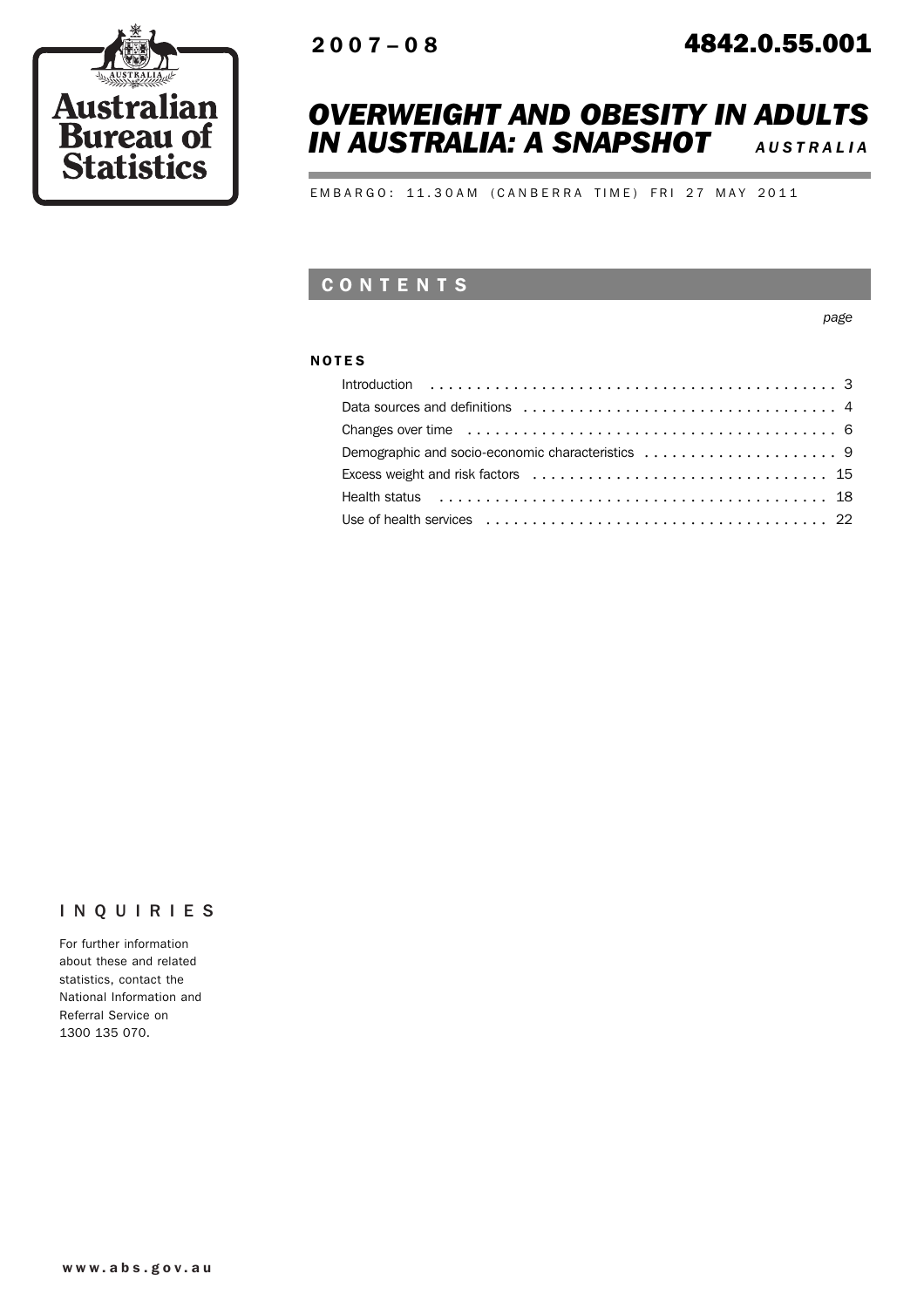

# *OVERWEIGHT AND OBESITY IN ADULTS IN AUSTRALIA: A SNAPSHOT <sup>A</sup> USTRALIA*

EMBARGO: 11.30AM (CANBERRA TIME) FRI 27 MAY 2011

# CONTENTS

*page*

### NOTES

| Health status enterpreteration of the series of the series of the series of the series of the series of the series of the series of the series of the series of the series of the series of the series of the series of the se |
|--------------------------------------------------------------------------------------------------------------------------------------------------------------------------------------------------------------------------------|
|                                                                                                                                                                                                                                |

## INQUIRIES

For further information about these and related statistics, contact the National Information and Referral Service on 1300 135 070.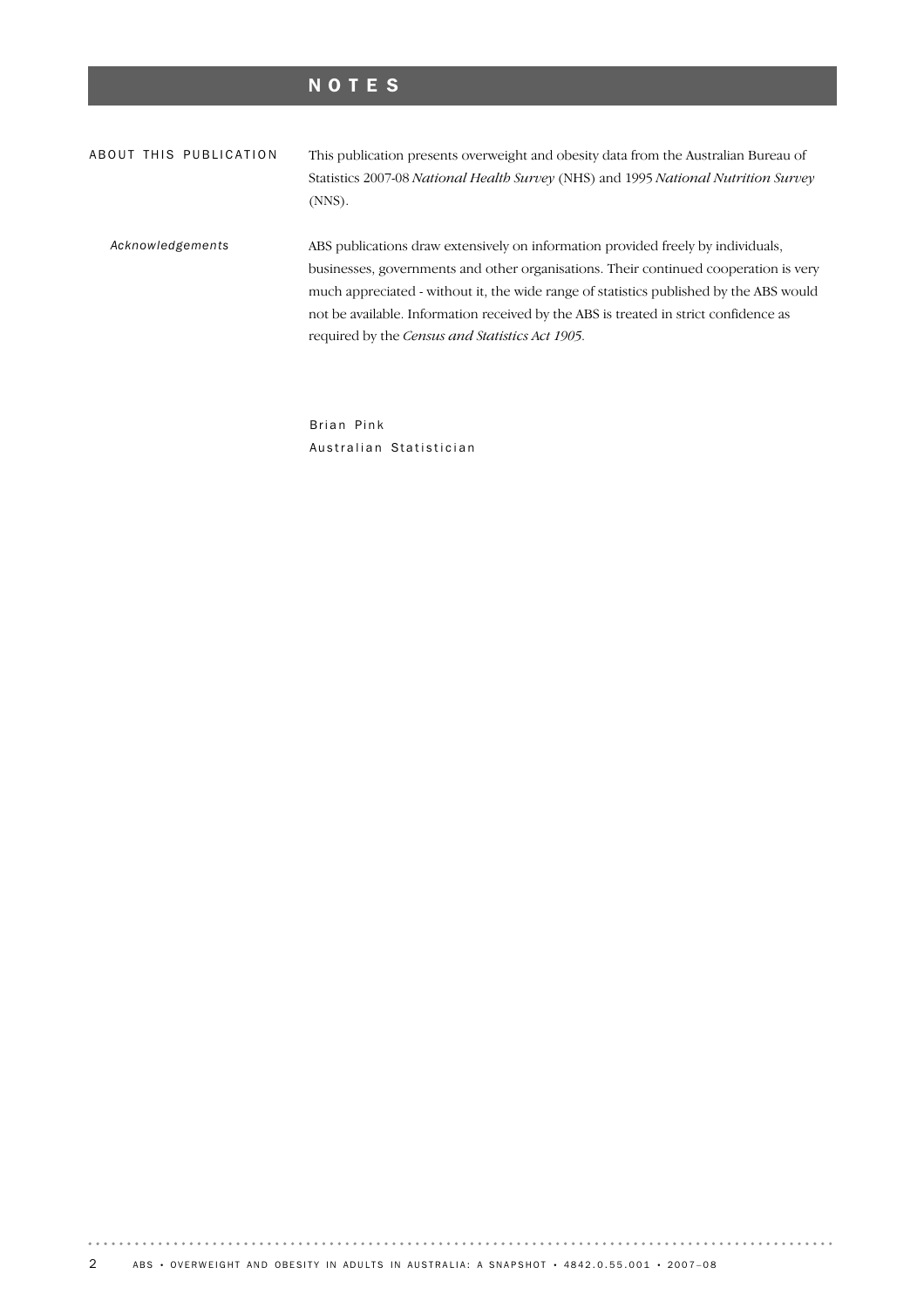# NOTES

| ABOUT THIS PUBLICATION | This publication presents overweight and obesity data from the Australian Bureau of<br>Statistics 2007-08 National Health Survey (NHS) and 1995 National Nutrition Survey<br>$(NNS)$ .                                                                                                                                                                                                                        |
|------------------------|---------------------------------------------------------------------------------------------------------------------------------------------------------------------------------------------------------------------------------------------------------------------------------------------------------------------------------------------------------------------------------------------------------------|
| Acknowledgements       | ABS publications draw extensively on information provided freely by individuals,<br>businesses, governments and other organisations. Their continued cooperation is very<br>much appreciated - without it, the wide range of statistics published by the ABS would<br>not be available. Information received by the ABS is treated in strict confidence as<br>required by the Census and Statistics Act 1905. |

Brian Pink Australian Statistician

 $\alpha$  ,  $\alpha$  ,  $\alpha$  ,  $\alpha$  ,  $\alpha$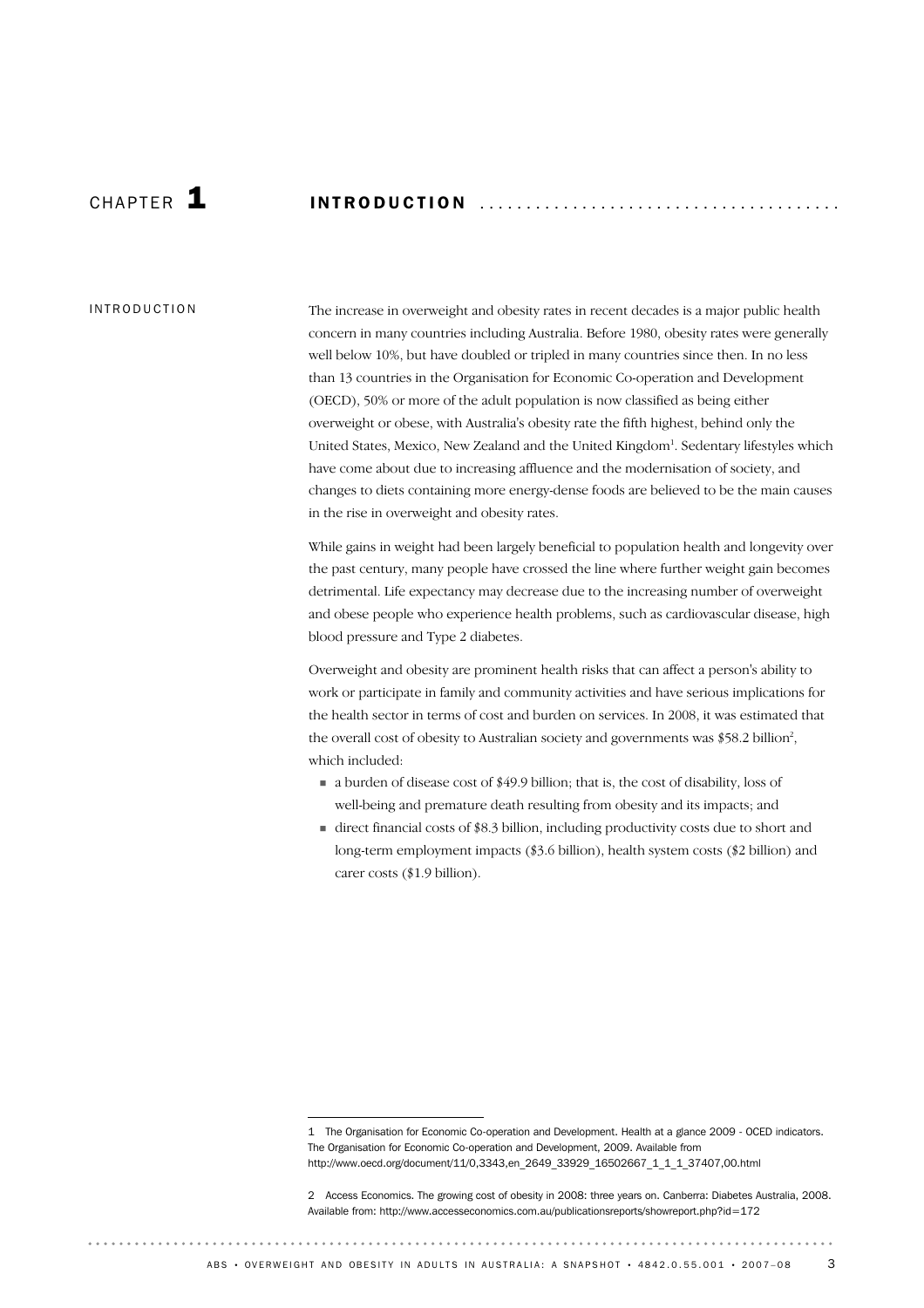# CHAP T E R 1 INTRODUCTION ...................................... .

#### INTRODUCTION

The increase in overweight and obesity rates in recent decades is a major public health concern in many countries including Australia. Before 1980, obesity rates were generally well below 10%, but have doubled or tripled in many countries since then. In no less than 13 countries in the Organisation for Economic Co-operation and Development (OECD), 50% or more of the adult population is now classified as being either overweight or obese, with Australia's obesity rate the fifth highest, behind only the United States, Mexico, New Zealand and the United Kingdom<sup>1</sup>. Sedentary lifestyles which have come about due to increasing affluence and the modernisation of society, and changes to diets containing more energy-dense foods are believed to be the main causes in the rise in overweight and obesity rates.

While gains in weight had been largely beneficial to population health and longevity over the past century, many people have crossed the line where further weight gain becomes detrimental. Life expectancy may decrease due to the increasing number of overweight and obese people who experience health problems, such as cardiovascular disease, high blood pressure and Type 2 diabetes.

Overweight and obesity are prominent health risks that can affect a person's ability to work or participate in family and community activities and have serious implications for the health sector in terms of cost and burden on services. In 2008, it was estimated that the overall cost of obesity to Australian society and governments was  $$58.2$  billion<sup>2</sup>, which included:

- ! a burden of disease cost of \$49.9 billion; that is, the cost of disability, loss of well-being and premature death resulting from obesity and its impacts; and
- $\blacksquare$  direct financial costs of \$8.3 billion, including productivity costs due to short and long-term employment impacts (\$3.6 billion), health system costs (\$2 billion) and carer costs (\$1.9 billion).

<sup>1</sup> The Organisation for Economic Co-operation and Development. Health at a glance 2009 - OCED indicators. The Organisation for Economic Co-operation and Development, 2009. Available from http://www.oecd.org/document/11/0,3343,en\_2649\_33929\_16502667\_1\_1\_1\_37407,00.html

<sup>2</sup> Access Economics. The growing cost of obesity in 2008: three years on. Canberra: Diabetes Australia, 2008. Available from: http://www.accesseconomics.com.au/publicationsreports/showreport.php?id=172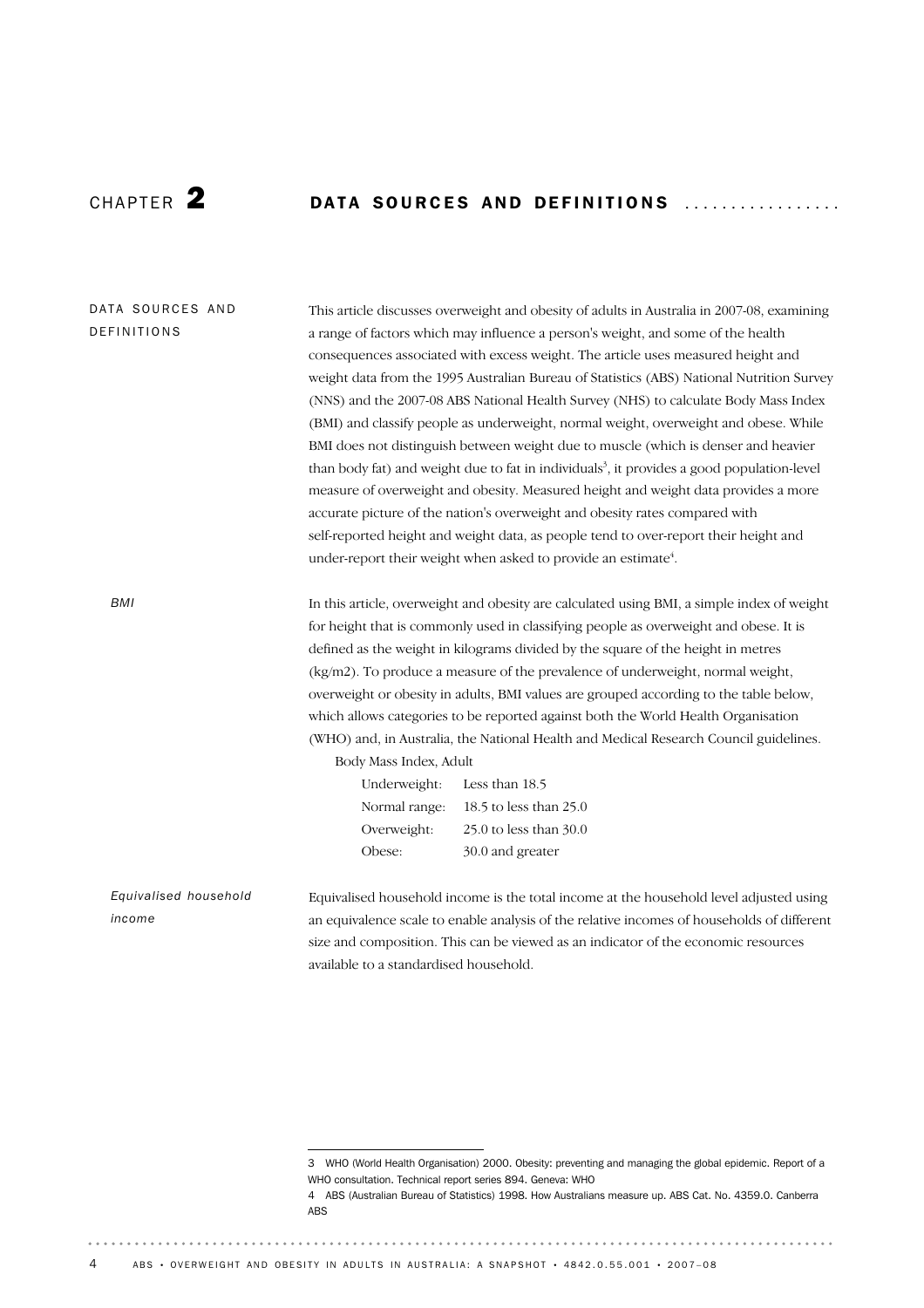$\frac{1}{2} \left( \frac{1}{2} \right) \left( \frac{1}{2} \right) \left( \frac{1}{2} \right) \left( \frac{1}{2} \right)$ 

# CHAPTER 2 DATA SOURCES AND DEFINITIONS ..................

| DATA SOURCES AND<br>DEFINITIONS                                                                                                                                            | This article discusses overweight and obesity of adults in Australia in 2007-08, examining<br>a range of factors which may influence a person's weight, and some of the health<br>consequences associated with excess weight. The article uses measured height and<br>weight data from the 1995 Australian Bureau of Statistics (ABS) National Nutrition Survey<br>(NNS) and the 2007-08 ABS National Health Survey (NHS) to calculate Body Mass Index<br>(BMI) and classify people as underweight, normal weight, overweight and obese. While |                                                                                            |  |            |                                                                                            |  |  |
|----------------------------------------------------------------------------------------------------------------------------------------------------------------------------|------------------------------------------------------------------------------------------------------------------------------------------------------------------------------------------------------------------------------------------------------------------------------------------------------------------------------------------------------------------------------------------------------------------------------------------------------------------------------------------------------------------------------------------------|--------------------------------------------------------------------------------------------|--|------------|--------------------------------------------------------------------------------------------|--|--|
|                                                                                                                                                                            |                                                                                                                                                                                                                                                                                                                                                                                                                                                                                                                                                |                                                                                            |  |            |                                                                                            |  |  |
|                                                                                                                                                                            |                                                                                                                                                                                                                                                                                                                                                                                                                                                                                                                                                | BMI does not distinguish between weight due to muscle (which is denser and heavier         |  |            |                                                                                            |  |  |
|                                                                                                                                                                            | than body fat) and weight due to fat in individuals <sup>3</sup> , it provides a good population-level<br>measure of overweight and obesity. Measured height and weight data provides a more<br>accurate picture of the nation's overweight and obesity rates compared with<br>self-reported height and weight data, as people tend to over-report their height and                                                                                                                                                                            |                                                                                            |  |            |                                                                                            |  |  |
|                                                                                                                                                                            |                                                                                                                                                                                                                                                                                                                                                                                                                                                                                                                                                |                                                                                            |  |            | under-report their weight when asked to provide an estimate <sup>4</sup> .                 |  |  |
|                                                                                                                                                                            |                                                                                                                                                                                                                                                                                                                                                                                                                                                                                                                                                |                                                                                            |  | <b>BMI</b> | In this article, overweight and obesity are calculated using BMI, a simple index of weight |  |  |
|                                                                                                                                                                            |                                                                                                                                                                                                                                                                                                                                                                                                                                                                                                                                                |                                                                                            |  |            | for height that is commonly used in classifying people as overweight and obese. It is      |  |  |
|                                                                                                                                                                            |                                                                                                                                                                                                                                                                                                                                                                                                                                                                                                                                                | defined as the weight in kilograms divided by the square of the height in metres           |  |            |                                                                                            |  |  |
|                                                                                                                                                                            |                                                                                                                                                                                                                                                                                                                                                                                                                                                                                                                                                | (kg/m2). To produce a measure of the prevalence of underweight, normal weight,             |  |            |                                                                                            |  |  |
| overweight or obesity in adults, BMI values are grouped according to the table below,<br>which allows categories to be reported against both the World Health Organisation |                                                                                                                                                                                                                                                                                                                                                                                                                                                                                                                                                |                                                                                            |  |            |                                                                                            |  |  |
|                                                                                                                                                                            |                                                                                                                                                                                                                                                                                                                                                                                                                                                                                                                                                |                                                                                            |  |            |                                                                                            |  |  |
|                                                                                                                                                                            | (WHO) and, in Australia, the National Health and Medical Research Council guidelines.                                                                                                                                                                                                                                                                                                                                                                                                                                                          |                                                                                            |  |            |                                                                                            |  |  |
|                                                                                                                                                                            | Body Mass Index, Adult                                                                                                                                                                                                                                                                                                                                                                                                                                                                                                                         |                                                                                            |  |            |                                                                                            |  |  |
|                                                                                                                                                                            | Underweight:                                                                                                                                                                                                                                                                                                                                                                                                                                                                                                                                   | Less than 18.5                                                                             |  |            |                                                                                            |  |  |
|                                                                                                                                                                            | Normal range:                                                                                                                                                                                                                                                                                                                                                                                                                                                                                                                                  | 18.5 to less than 25.0                                                                     |  |            |                                                                                            |  |  |
|                                                                                                                                                                            | Overweight:                                                                                                                                                                                                                                                                                                                                                                                                                                                                                                                                    | 25.0 to less than 30.0                                                                     |  |            |                                                                                            |  |  |
|                                                                                                                                                                            | Obese:                                                                                                                                                                                                                                                                                                                                                                                                                                                                                                                                         | 30.0 and greater                                                                           |  |            |                                                                                            |  |  |
| Equivalised household                                                                                                                                                      |                                                                                                                                                                                                                                                                                                                                                                                                                                                                                                                                                | Equivalised household income is the total income at the household level adjusted using     |  |            |                                                                                            |  |  |
| income                                                                                                                                                                     |                                                                                                                                                                                                                                                                                                                                                                                                                                                                                                                                                | an equivalence scale to enable analysis of the relative incomes of households of different |  |            |                                                                                            |  |  |
|                                                                                                                                                                            |                                                                                                                                                                                                                                                                                                                                                                                                                                                                                                                                                | size and composition. This can be viewed as an indicator of the economic resources         |  |            |                                                                                            |  |  |
|                                                                                                                                                                            | available to a standardised household.                                                                                                                                                                                                                                                                                                                                                                                                                                                                                                         |                                                                                            |  |            |                                                                                            |  |  |

. . . . . . . . . . . . . . . .

<sup>3</sup> WHO (World Health Organisation) 2000. Obesity: preventing and managing the global epidemic. Report of a WHO consultation. Technical report series 894. Geneva: WHO

<sup>4</sup> ABS (Australian Bureau of Statistics) 1998. How Australians measure up. ABS Cat. No. 4359.0. Canberra ABS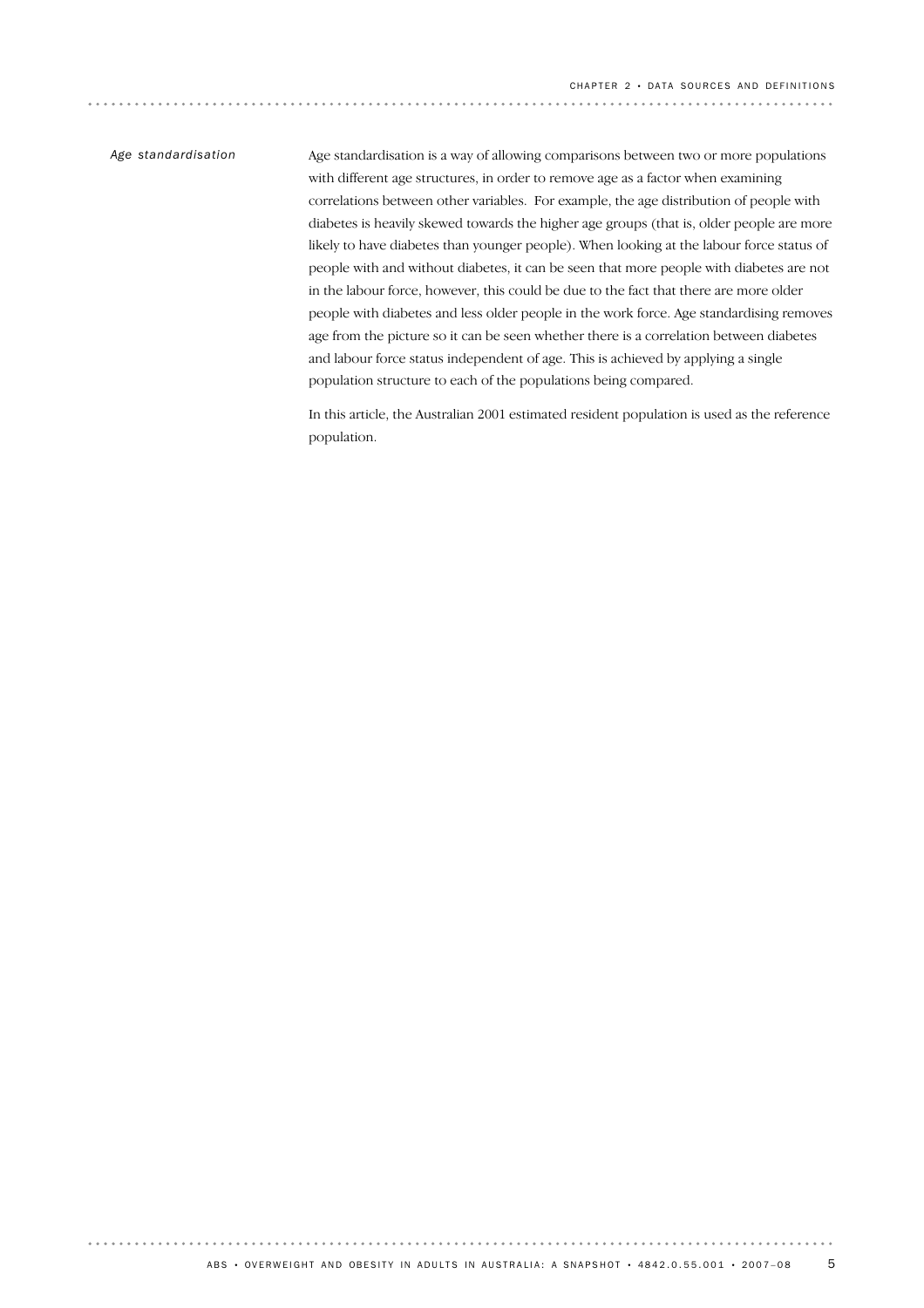### *Age standardisation*

Age standardisation is a way of allowing comparisons between two or more populations with different age structures, in order to remove age as a factor when examining correlations between other variables. For example, the age distribution of people with diabetes is heavily skewed towards the higher age groups (that is, older people are more likely to have diabetes than younger people). When looking at the labour force status of people with and without diabetes, it can be seen that more people with diabetes are not in the labour force, however, this could be due to the fact that there are more older people with diabetes and less older people in the work force. Age standardising removes age from the picture so it can be seen whether there is a correlation between diabetes and labour force status independent of age. This is achieved by applying a single population structure to each of the populations being compared.

In this article, the Australian 2001 estimated resident population is used as the reference population.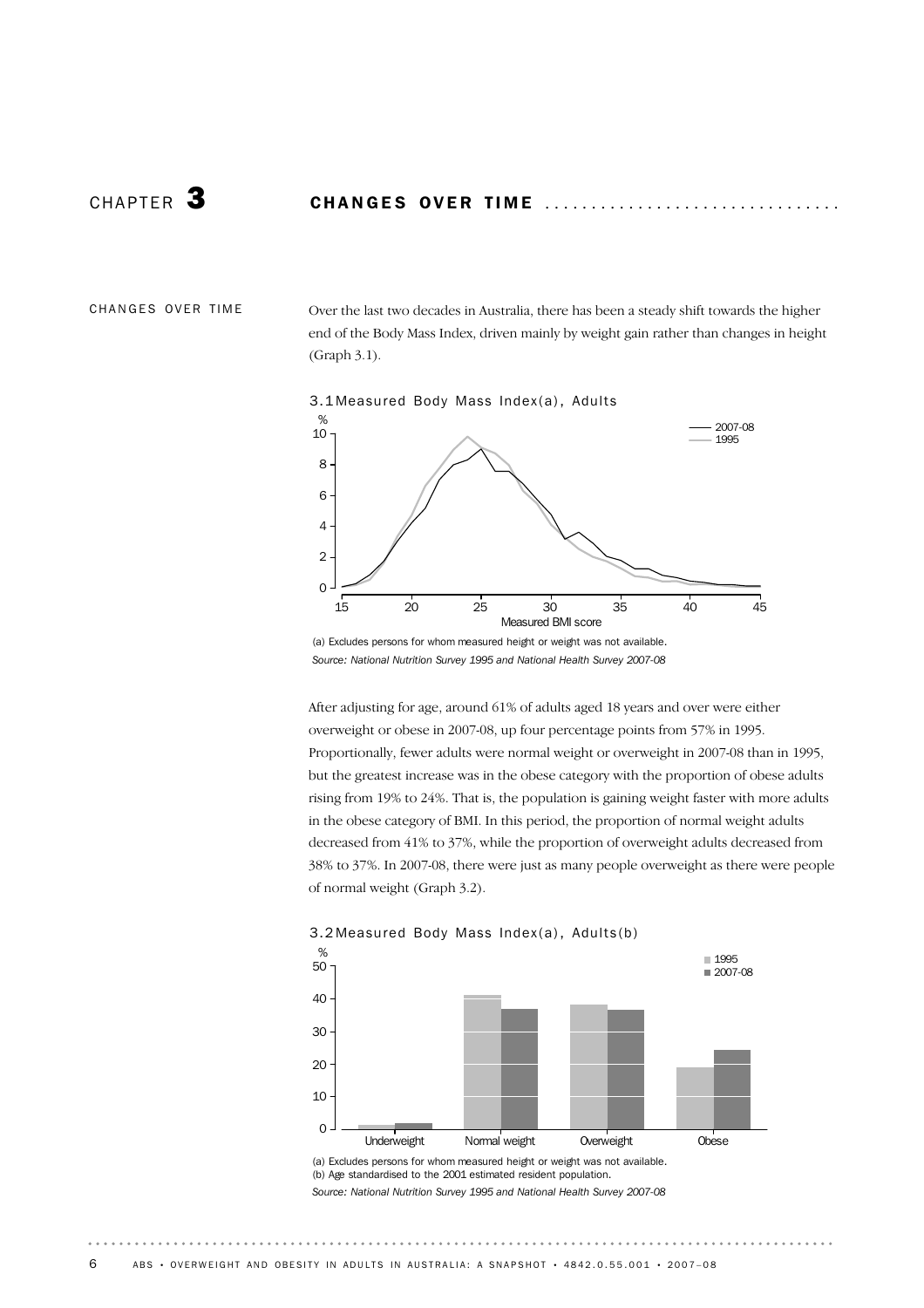CHANGES OVER TIME

Over the last two decades in Australia, there has been a steady shift towards the higher end of the Body Mass Index, driven mainly by weight gain rather than changes in height (Graph 3.1).





(a) Excludes persons for whom measured height or weight was not available. *Source: National Nutrition Survey 1995 and National Health Survey 2007-08*

After adjusting for age, around 61% of adults aged 18 years and over were either overweight or obese in 2007-08, up four percentage points from 57% in 1995. Proportionally, fewer adults were normal weight or overweight in 2007-08 than in 1995, but the greatest increase was in the obese category with the proportion of obese adults rising from 19% to 24%. That is, the population is gaining weight faster with more adults in the obese category of BMI. In this period, the proportion of normal weight adults decreased from 41% to 37%, while the proportion of overweight adults decreased from 38% to 37%. In 2007-08, there were just as many people overweight as there were people of normal weight (Graph 3.2).



(a) Excludes persons for whom measured height or weight was not available. (b) Age standardised to the 2001 estimated resident population. *Source: National Nutrition Survey 1995 and National Health Survey 2007-08*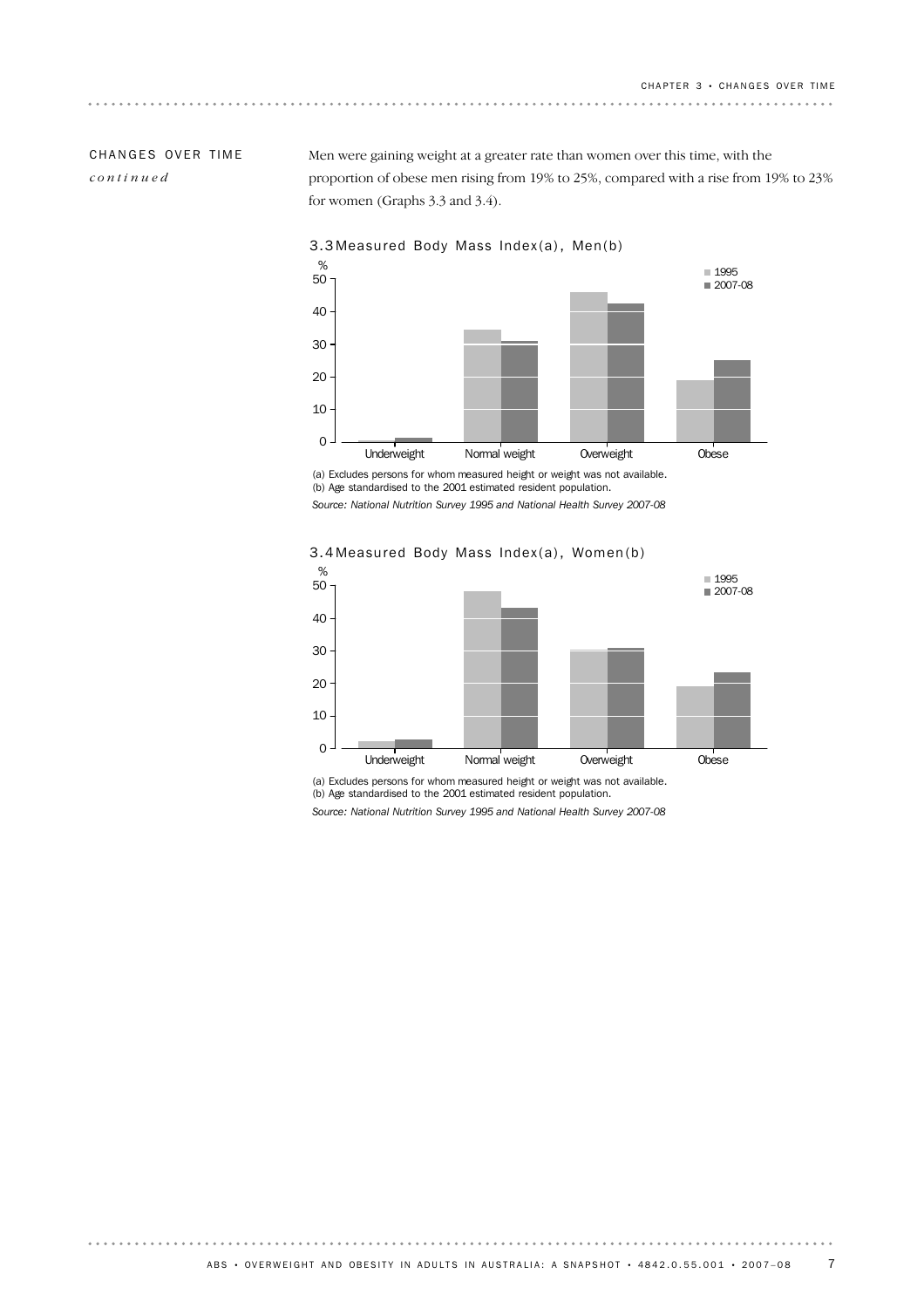## CHANGES OVER TIME *continued*

Men were gaining weight at a greater rate than women over this time, with the proportion of obese men rising from 19% to 25%, compared with a rise from 19% to 23% for women (Graphs 3.3 and 3.4).



(a) Excludes persons for whom measured height or weight was not available. (b) Age standardised to the 2001 estimated resident population. *Source: National Nutrition Survey 1995 and National Health Survey 2007-08*



3.4 Measured Body Mass Index(a), Women(b)

(a) Excludes persons for whom measured height or weight was not available. (b) Age standardised to the 2001 estimated resident population. *Source: National Nutrition Survey 1995 and National Health Survey 2007-08*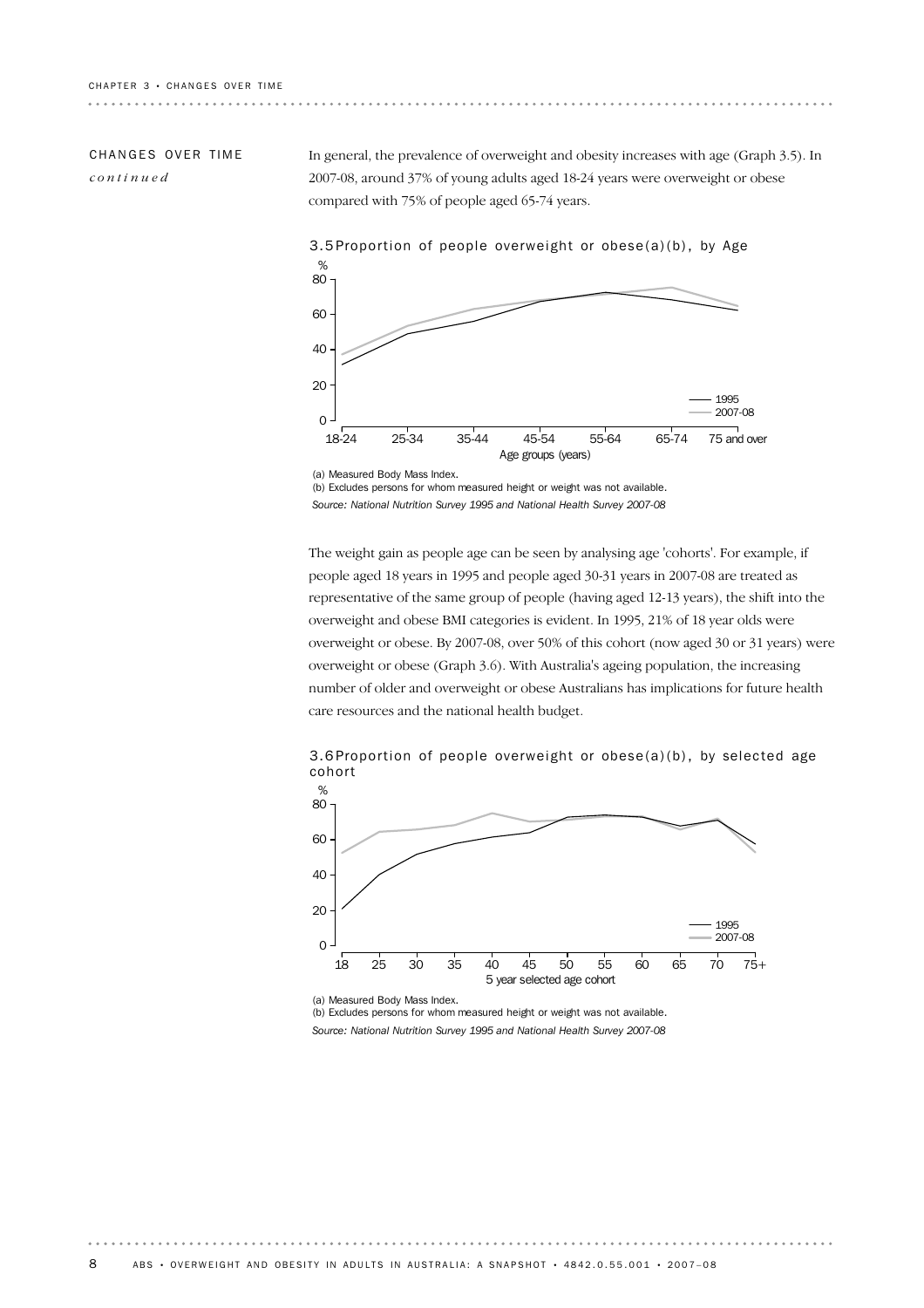### CHANGES OVER TIME *continued*

In general, the prevalence of overweight and obesity increases with age (Graph 3.5). In 2007-08, around 37% of young adults aged 18-24 years were overweight or obese compared with 75% of people aged 65-74 years.



(b) Excludes persons for whom measured height or weight was not available. *Source: National Nutrition Survey 1995 and National Health Survey 2007-08*

The weight gain as people age can be seen by analysing age 'cohorts'. For example, if people aged 18 years in 1995 and people aged 30-31 years in 2007-08 are treated as representative of the same group of people (having aged 12-13 years), the shift into the overweight and obese BMI categories is evident. In 1995, 21% of 18 year olds were overweight or obese. By 2007-08, over 50% of this cohort (now aged 30 or 31 years) were overweight or obese (Graph 3.6). With Australia's ageing population, the increasing number of older and overweight or obese Australians has implications for future health care resources and the national health budget.

3.6 Proportion of people overweight or obese(a)(b), by selected age cohort



(a) Measured Body Mass Index.

(b) Excludes persons for whom measured height or weight was not available. *Source: National Nutrition Survey 1995 and National Health Survey 2007-08*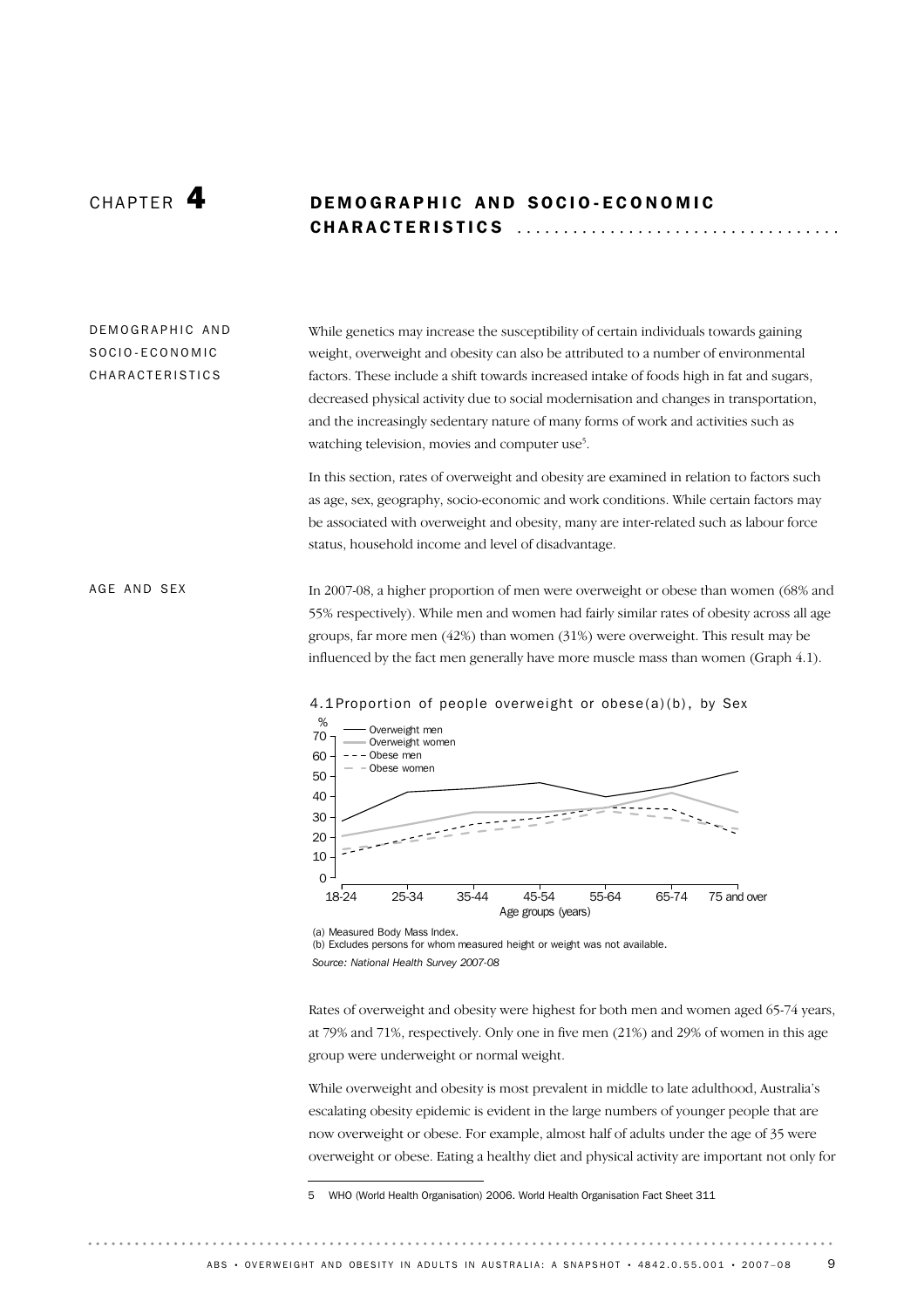# CHAPTER 4 DEMOGRAPHIC AND SOCIO-ECONOMIC CHARACTERISTICS .................................

#### While genetics may increase the susceptibility of certain individuals towards gaining weight, overweight and obesity can also be attributed to a number of environmental factors. These include a shift towards increased intake of foods high in fat and sugars, decreased physical activity due to social modernisation and changes in transportation, and the increasingly sedentary nature of many forms of work and activities such as watching television, movies and computer use<sup>5</sup>. DE MOGRAPHIC AND SOCIO-ECONOMIC CHARACTERISTICS

In this section, rates of overweight and obesity are examined in relation to factors such as age, sex, geography, socio-economic and work conditions. While certain factors may be associated with overweight and obesity, many are inter-related such as labour force status, household income and level of disadvantage.

#### In 2007-08, a higher proportion of men were overweight or obese than women (68% and 55% respectively). While men and women had fairly similar rates of obesity across all age groups, far more men (42%) than women (31%) were overweight. This result may be influenced by the fact men generally have more muscle mass than women (Graph 4.1). AGE AND SEX



4.1 Proportion of people overweight or obese(a)(b), by Sex

(a) Measured Body Mass Index. (b) Excludes persons for whom measured height or weight was not available. *Source: National Health Survey 2007-08*

Rates of overweight and obesity were highest for both men and women aged 65-74 years, at 79% and 71%, respectively. Only one in five men (21%) and 29% of women in this age group were underweight or normal weight.

While overweight and obesity is most prevalent in middle to late adulthood, Australia's escalating obesity epidemic is evident in the large numbers of younger people that are now overweight or obese. For example, almost half of adults under the age of 35 were overweight or obese. Eating a healthy diet and physical activity are important not only for

<sup>5</sup> WHO (World Health Organisation) 2006. World Health Organisation Fact Sheet 311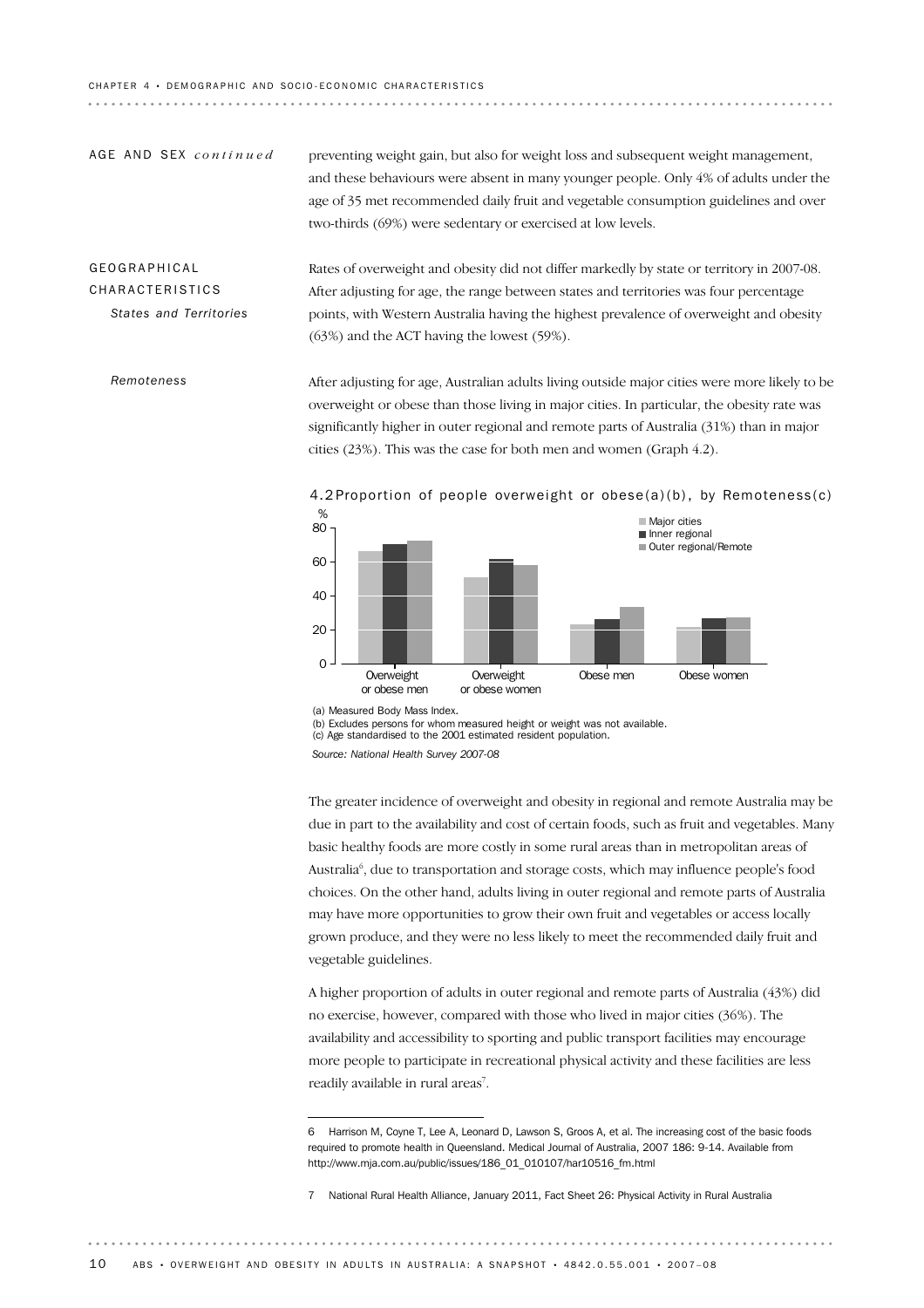#### CHAPTER 4 · DEMOGRAPHIC AND SOCIO-ECONOMIC CHARACTERISTICS

preventing weight gain, but also for weight loss and subsequent weight management, and these behaviours were absent in many younger people. Only 4% of adults under the age of 35 met recommended daily fruit and vegetable consumption guidelines and over two-thirds (69%) were sedentary or exercised at low levels. AGE AND SEX *continued* 

# GEOGRAPHICAL CHARACTERISTICS *States and Territories*

*Remoteness*

Rates of overweight and obesity did not differ markedly by state or territory in 2007-08. After adjusting for age, the range between states and territories was four percentage points, with Western Australia having the highest prevalence of overweight and obesity (63%) and the ACT having the lowest (59%).

After adjusting for age, Australian adults living outside major cities were more likely to be overweight or obese than those living in major cities. In particular, the obesity rate was significantly higher in outer regional and remote parts of Australia (31%) than in major cities (23%). This was the case for both men and women (Graph 4.2).



4.2 Proportion of people overweight or obese(a)(b), by Remoteness(c)

(b) Excludes persons for whom measured height or weight was not available.

The greater incidence of overweight and obesity in regional and remote Australia may be due in part to the availability and cost of certain foods, such as fruit and vegetables. Many basic healthy foods are more costly in some rural areas than in metropolitan areas of Australia<sup>6</sup>, due to transportation and storage costs, which may influence people's food choices. On the other hand, adults living in outer regional and remote parts of Australia may have more opportunities to grow their own fruit and vegetables or access locally grown produce, and they were no less likely to meet the recommended daily fruit and vegetable guidelines.

A higher proportion of adults in outer regional and remote parts of Australia (43%) did no exercise, however, compared with those who lived in major cities (36%). The availability and accessibility to sporting and public transport facilities may encourage more people to participate in recreational physical activity and these facilities are less readily available in rural areas<sup>7</sup>.

<sup>(</sup>a) Measured Body Mass Index.

<sup>(</sup>c) Age standardised to the 2001 estimated resident population.

*Source: National Health Survey 2007-08*

<sup>6</sup> Harrison M, Coyne T, Lee A, Leonard D, Lawson S, Groos A, et al. The increasing cost of the basic foods required to promote health in Queensland. Medical Journal of Australia, 2007 186: 9-14. Available from http://www.mja.com.au/public/issues/186\_01\_010107/har10516\_fm.html

<sup>7</sup> National Rural Health Alliance, January 2011, Fact Sheet 26: Physical Activity in Rural Australia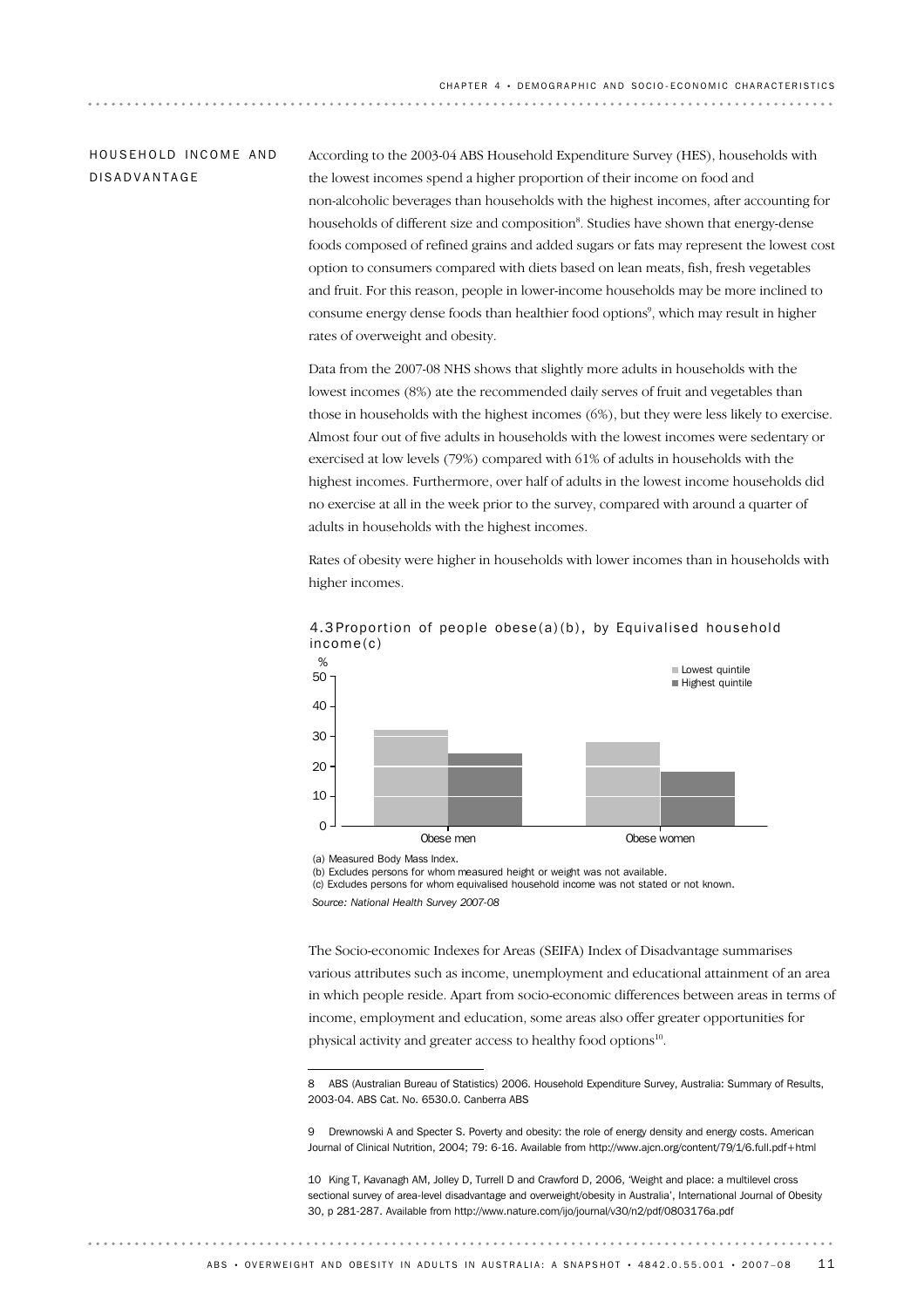### HOUSFHOLD INCOME AND DISADVANTAGE

According to the 2003-04 ABS Household Expenditure Survey (HES), households with the lowest incomes spend a higher proportion of their income on food and non-alcoholic beverages than households with the highest incomes, after accounting for households of different size and composition<sup>8</sup>. Studies have shown that energy-dense foods composed of refined grains and added sugars or fats may represent the lowest cost option to consumers compared with diets based on lean meats, fish, fresh vegetables and fruit. For this reason, people in lower-income households may be more inclined to consume energy dense foods than healthier food options<sup>9</sup>, which may result in higher rates of overweight and obesity.

Data from the 2007-08 NHS shows that slightly more adults in households with the lowest incomes (8%) ate the recommended daily serves of fruit and vegetables than those in households with the highest incomes (6%), but they were less likely to exercise. Almost four out of five adults in households with the lowest incomes were sedentary or exercised at low levels (79%) compared with 61% of adults in households with the highest incomes. Furthermore, over half of adults in the lowest income households did no exercise at all in the week prior to the survey, compared with around a quarter of adults in households with the highest incomes.

Rates of obesity were higher in households with lower incomes than in households with higher incomes.



4.3 Proportion of people obese(a)(b), by Equivalised household income(c)

(a) Measured Body Mass Index.

(b) Excludes persons for whom measured height or weight was not available.

(c) Excludes persons for whom equivalised household income was not stated or not known.

*Source: National Health Survey 2007-08*

The Socio-economic Indexes for Areas (SEIFA) Index of Disadvantage summarises various attributes such as income, unemployment and educational attainment of an area in which people reside. Apart from socio-economic differences between areas in terms of income, employment and education, some areas also offer greater opportunities for physical activity and greater access to healthy food options<sup>10</sup>.

8 ABS (Australian Bureau of Statistics) 2006. Household Expenditure Survey, Australia: Summary of Results, 2003-04. ABS Cat. No. 6530.0. Canberra ABS

10 King T, Kavanagh AM, Jolley D, Turrell D and Crawford D, 2006, 'Weight and place: a multilevel cross sectional survey of area-level disadvantage and overweight/obesity in Australia', International Journal of Obesity 30, p 281-287. Available from http://www.nature.com/ijo/journal/v30/n2/pdf/0803176a.pdf

<sup>9</sup> Drewnowski A and Specter S. Poverty and obesity: the role of energy density and energy costs. American Journal of Clinical Nutrition, 2004; 79: 6-16. Available from http://www.ajcn.org/content/79/1/6.full.pdf+html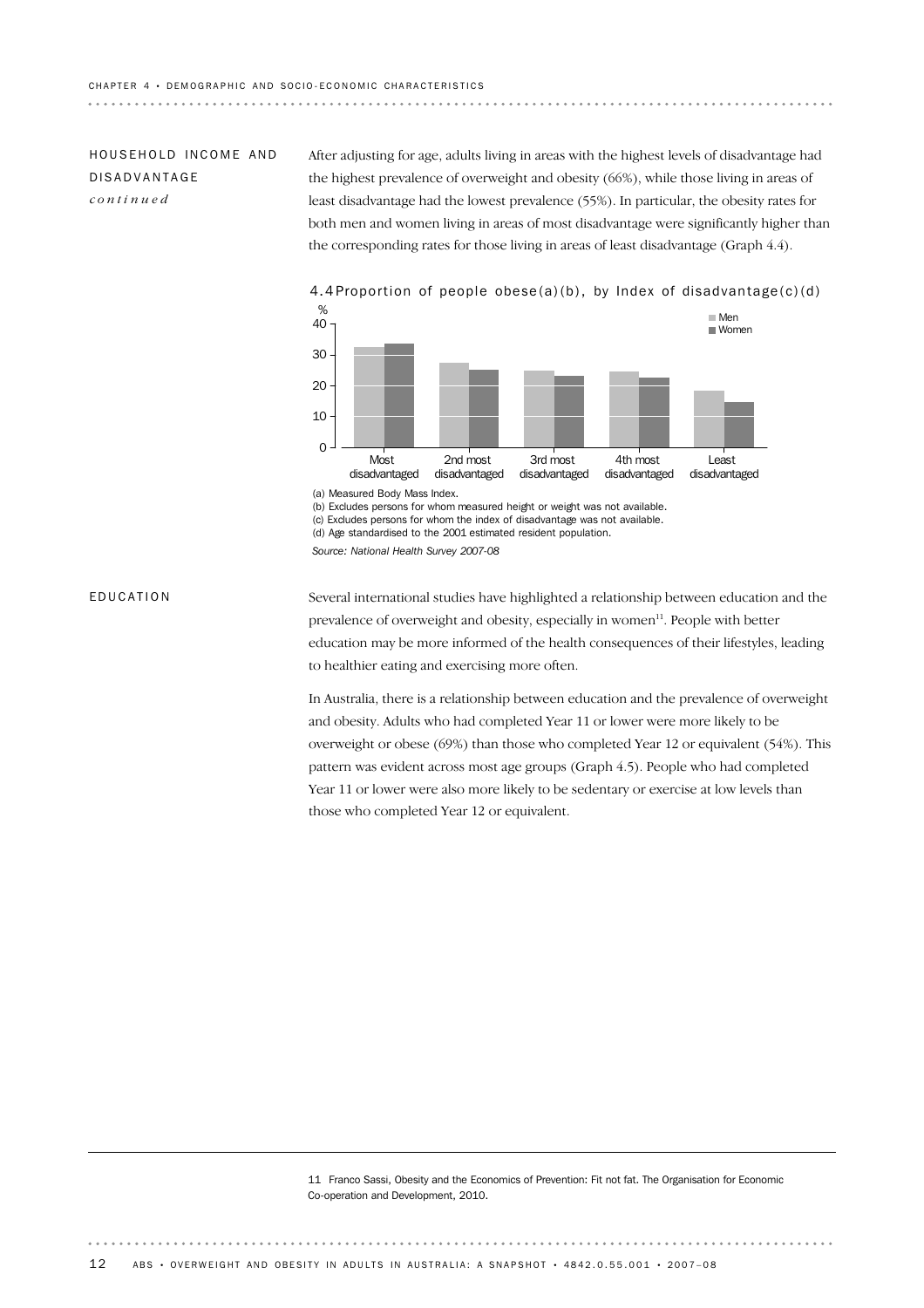## HOUS FHOLD INCOME AND DISADVANTAGE *continued*

After adjusting for age, adults living in areas with the highest levels of disadvantage had the highest prevalence of overweight and obesity (66%), while those living in areas of least disadvantage had the lowest prevalence (55%). In particular, the obesity rates for both men and women living in areas of most disadvantage were significantly higher than the corresponding rates for those living in areas of least disadvantage (Graph 4.4).



4.4 Proportion of people obese(a)(b), by Index of disadvantage(c)(d)

(a) Measured Body Mass Index.

(b) Excludes persons for whom measured height or weight was not available. (c) Excludes persons for whom the index of disadvantage was not available.

(d) Age standardised to the 2001 estimated resident population.

*Source: National Health Survey 2007-08*

#### EDUCATION

Several international studies have highlighted a relationship between education and the prevalence of overweight and obesity, especially in women<sup>11</sup>. People with better education may be more informed of the health consequences of their lifestyles, leading to healthier eating and exercising more often.

In Australia, there is a relationship between education and the prevalence of overweight and obesity. Adults who had completed Year 11 or lower were more likely to be overweight or obese (69%) than those who completed Year 12 or equivalent (54%). This pattern was evident across most age groups (Graph 4.5). People who had completed Year 11 or lower were also more likely to be sedentary or exercise at low levels than those who completed Year 12 or equivalent.

11 Franco Sassi, Obesity and the Economics of Prevention: Fit not fat. The Organisation for Economic Co-operation and Development, 2010.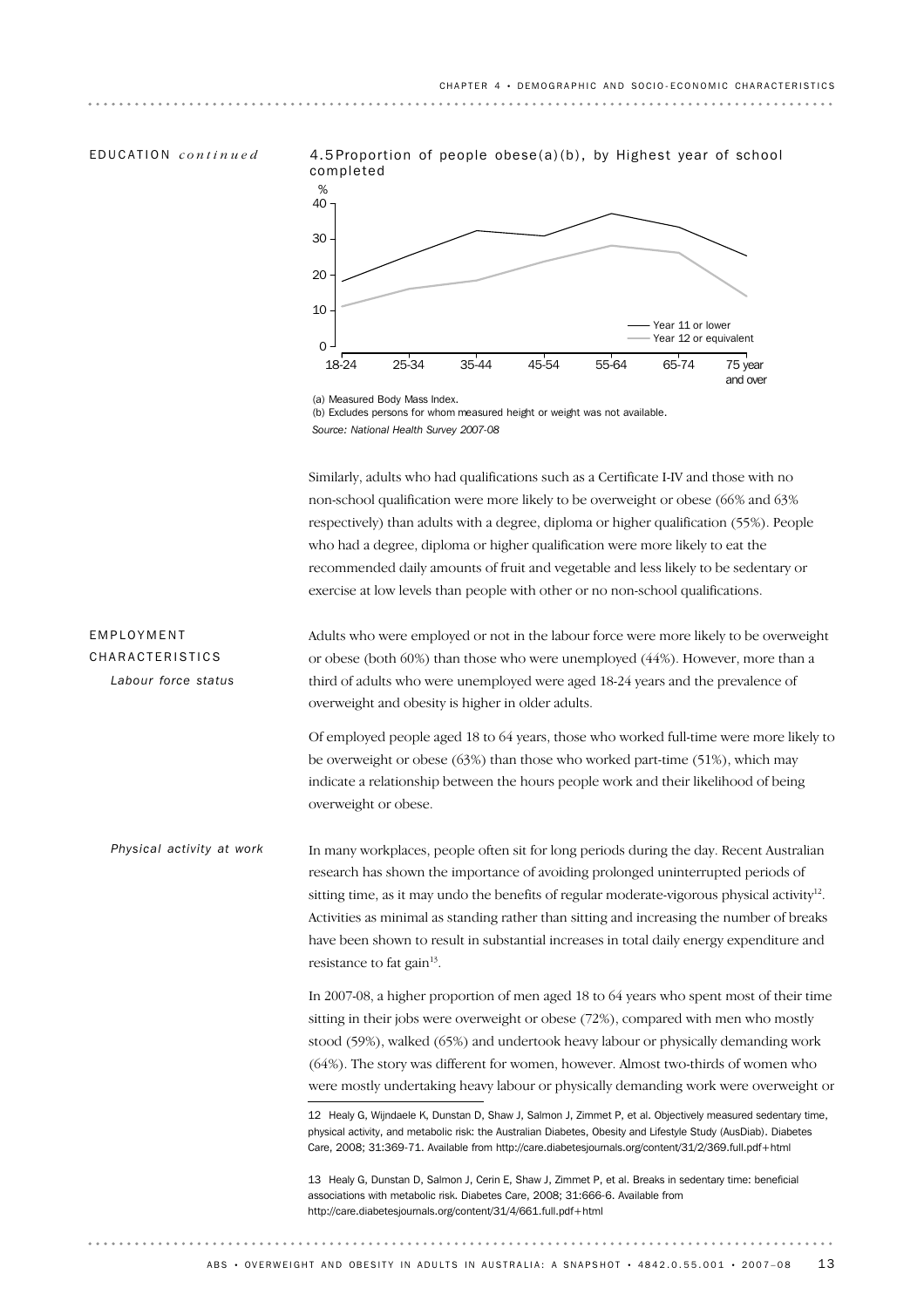EDUCATION *continued*





<sup>(</sup>a) Measured Body Mass Index.

(b) Excludes persons for whom measured height or weight was not available. *Source: National Health Survey 2007-08*

Similarly, adults who had qualifications such as a Certificate I-IV and those with no non-school qualification were more likely to be overweight or obese (66% and 63% respectively) than adults with a degree, diploma or higher qualification (55%). People who had a degree, diploma or higher qualification were more likely to eat the recommended daily amounts of fruit and vegetable and less likely to be sedentary or exercise at low levels than people with other or no non-school qualifications.

Adults who were employed or not in the labour force were more likely to be overweight or obese (both 60%) than those who were unemployed (44%). However, more than a third of adults who were unemployed were aged 18-24 years and the prevalence of overweight and obesity is higher in older adults. EMPLOYMENT CHARACTERISTICS *Labour force status*

> Of employed people aged 18 to 64 years, those who worked full-time were more likely to be overweight or obese (63%) than those who worked part-time (51%), which may indicate a relationship between the hours people work and their likelihood of being overweight or obese.

In many workplaces, people often sit for long periods during the day. Recent Australian research has shown the importance of avoiding prolonged uninterrupted periods of sitting time, as it may undo the benefits of regular moderate-vigorous physical activity<sup>12</sup>. Activities as minimal as standing rather than sitting and increasing the number of breaks have been shown to result in substantial increases in total daily energy expenditure and resistance to fat gain $13$ . *Physical activity at work*

> In 2007-08, a higher proportion of men aged 18 to 64 years who spent most of their time sitting in their jobs were overweight or obese (72%), compared with men who mostly stood (59%), walked (65%) and undertook heavy labour or physically demanding work (64%). The story was different for women, however. Almost two-thirds of women who were mostly undertaking heavy labour or physically demanding work were overweight or

13 Healy G, Dunstan D, Salmon J, Cerin E, Shaw J, Zimmet P, et al. Breaks in sedentary time: beneficial associations with metabolic risk. Diabetes Care, 2008; 31:666-6. Available from http://care.diabetesjournals.org/content/31/4/661.full.pdf+html

<sup>12</sup> Healy G, Wijndaele K, Dunstan D, Shaw J, Salmon J, Zimmet P, et al. Objectively measured sedentary time, physical activity, and metabolic risk: the Australian Diabetes, Obesity and Lifestyle Study (AusDiab). Diabetes Care, 2008; 31:369-71. Available from http://care.diabetesjournals.org/content/31/2/369.full.pdf+html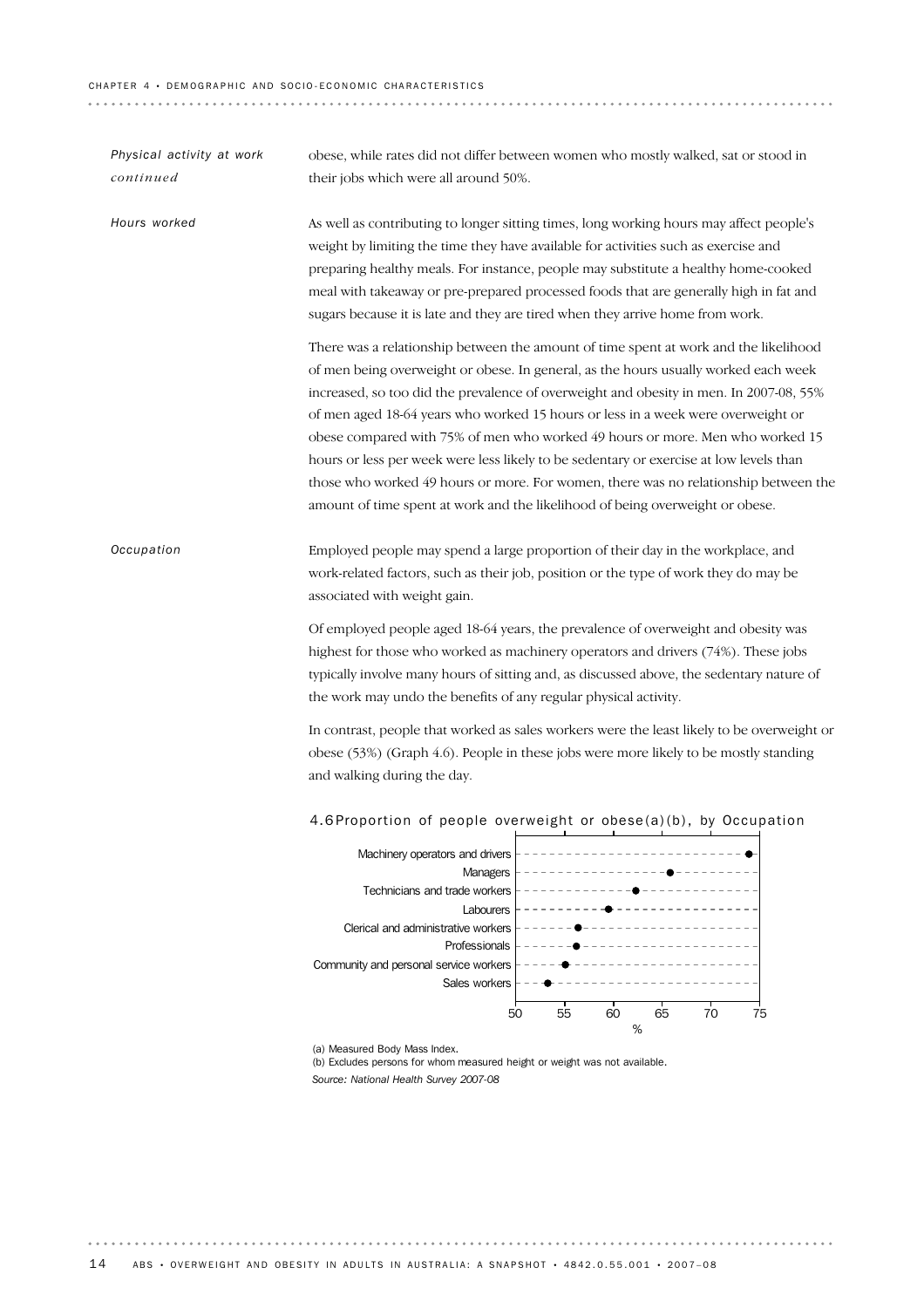#### CHAPTER 4 · DEMOGRAPHIC AND SOCIO-ECONOMIC CHARACTERISTICS

Machinery operators and drivers Managers Technicians and trade workers Labourers 4.6 Proportion of people overweight or obese(a)(b), by Occupation Employed people may spend a large proportion of their day in the workplace, and work-related factors, such as their job, position or the type of work they do may be associated with weight gain. Of employed people aged 18-64 years, the prevalence of overweight and obesity was highest for those who worked as machinery operators and drivers (74%). These jobs typically involve many hours of sitting and, as discussed above, the sedentary nature of the work may undo the benefits of any regular physical activity. In contrast, people that worked as sales workers were the least likely to be overweight or obese (53%) (Graph 4.6). People in these jobs were more likely to be mostly standing and walking during the day. *Occupation* As well as contributing to longer sitting times, long working hours may affect people's weight by limiting the time they have available for activities such as exercise and preparing healthy meals. For instance, people may substitute a healthy home-cooked meal with takeaway or pre-prepared processed foods that are generally high in fat and sugars because it is late and they are tired when they arrive home from work. There was a relationship between the amount of time spent at work and the likelihood of men being overweight or obese. In general, as the hours usually worked each week increased, so too did the prevalence of overweight and obesity in men. In 2007-08, 55% of men aged 18-64 years who worked 15 hours or less in a week were overweight or obese compared with 75% of men who worked 49 hours or more. Men who worked 15 hours or less per week were less likely to be sedentary or exercise at low levels than those who worked 49 hours or more. For women, there was no relationship between the amount of time spent at work and the likelihood of being overweight or obese. *Hours worked* obese, while rates did not differ between women who mostly walked, sat or stood in their jobs which were all around 50%. *Physical activity at work continued*

Clerical and administrative workers Professionals Community and personal service workers Sales workers 50 55 60 65 70 75  $\frac{1}{2}$ 

(a) Measured Body Mass Index.

(b) Excludes persons for whom measured height or weight was not available.

*Source: National Health Survey 2007-08*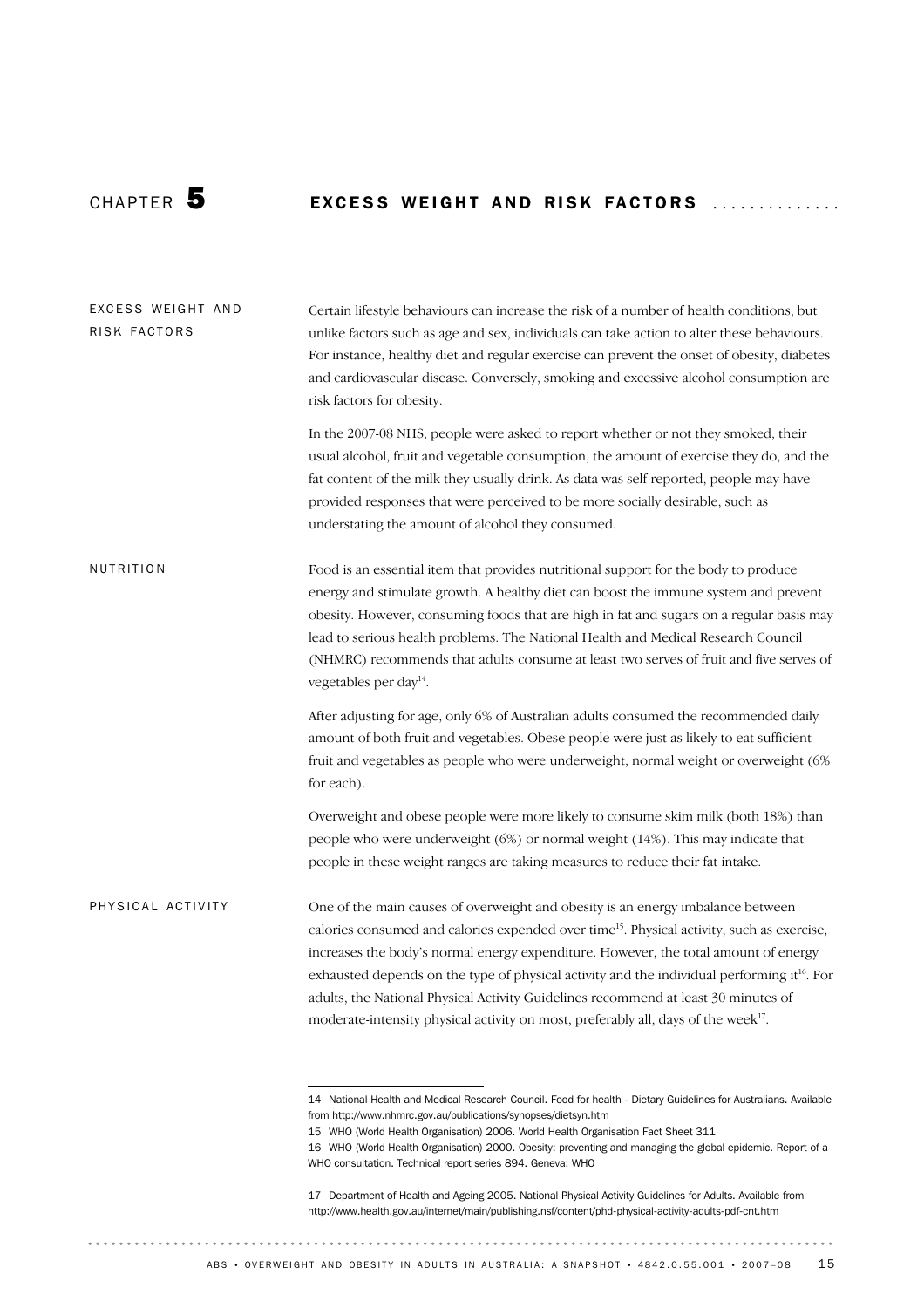# CHAPTER 5 **EXCESS WEIGHT AND RISK FACTORS**

One of the main causes of overweight and obesity is an energy imbalance between calories consumed and calories expended over time15. Physical activity, such as exercise, increases the body's normal energy expenditure. However, the total amount of energy exhausted depends on the type of physical activity and the individual performing it<sup>16</sup>. For adults, the National Physical Activity Guidelines recommend at least 30 minutes of moderate-intensity physical activity on most, preferably all, days of the week<sup>17</sup>. PHYSICAL ACTIVITY Food is an essential item that provides nutritional support for the body to produce energy and stimulate growth. A healthy diet can boost the immune system and prevent obesity. However, consuming foods that are high in fat and sugars on a regular basis may lead to serious health problems. The National Health and Medical Research Council (NHMRC) recommends that adults consume at least two serves of fruit and five serves of vegetables per day<sup>14</sup>. After adjusting for age, only 6% of Australian adults consumed the recommended daily amount of both fruit and vegetables. Obese people were just as likely to eat sufficient fruit and vegetables as people who were underweight, normal weight or overweight (6% for each). Overweight and obese people were more likely to consume skim milk (both 18%) than people who were underweight (6%) or normal weight (14%). This may indicate that people in these weight ranges are taking measures to reduce their fat intake. NUTRITION Certain lifestyle behaviours can increase the risk of a number of health conditions, but unlike factors such as age and sex, individuals can take action to alter these behaviours. For instance, healthy diet and regular exercise can prevent the onset of obesity, diabetes and cardiovascular disease. Conversely, smoking and excessive alcohol consumption are risk factors for obesity. In the 2007-08 NHS, people were asked to report whether or not they smoked, their usual alcohol, fruit and vegetable consumption, the amount of exercise they do, and the fat content of the milk they usually drink. As data was self-reported, people may have provided responses that were perceived to be more socially desirable, such as understating the amount of alcohol they consumed. EXCESS WEIGHT AND RISK FACTORS

<sup>14</sup> National Health and Medical Research Council. Food for health - Dietary Guidelines for Australians. Available from http://www.nhmrc.gov.au/publications/synopses/dietsyn.htm

<sup>15</sup> WHO (World Health Organisation) 2006. World Health Organisation Fact Sheet 311

<sup>16</sup> WHO (World Health Organisation) 2000. Obesity: preventing and managing the global epidemic. Report of a WHO consultation. Technical report series 894. Geneva: WHO

<sup>17</sup> Department of Health and Ageing 2005. National Physical Activity Guidelines for Adults. Available from http://www.health.gov.au/internet/main/publishing.nsf/content/phd-physical-activity-adults-pdf-cnt.htm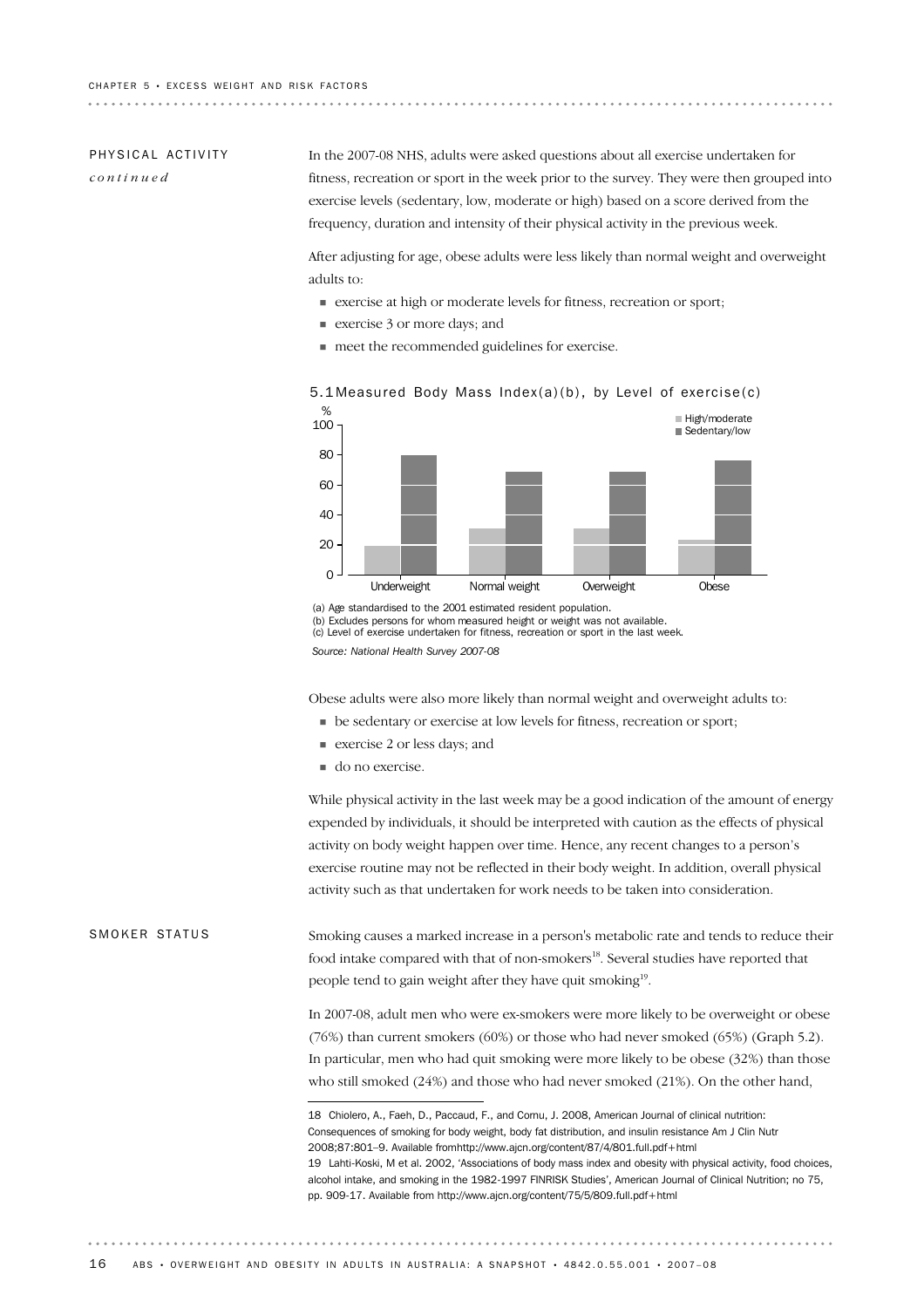# PHYSICAL ACTIVITY

*continued*

In the 2007-08 NHS, adults were asked questions about all exercise undertaken for fitness, recreation or sport in the week prior to the survey. They were then grouped into exercise levels (sedentary, low, moderate or high) based on a score derived from the frequency, duration and intensity of their physical activity in the previous week.

After adjusting for age, obese adults were less likely than normal weight and overweight adults to:

- ! exercise at high or moderate levels for fitness, recreation or sport;
- **Exercise** 3 or more days; and
- ! meet the recommended guidelines for exercise.



### 5.1 Measured Body Mass Index(a)(b), by Level of exercise(c)

(a) Age standardised to the 2001 estimated resident population. (b) Excludes persons for whom measured height or weight was not available. (c) Level of exercise undertaken for fitness, recreation or sport in the last week. *Source: National Health Survey 2007-08*

Obese adults were also more likely than normal weight and overweight adults to:

- ! be sedentary or exercise at low levels for fitness, recreation or sport;
- exercise 2 or less days; and
- $\blacksquare$  do no exercise.

While physical activity in the last week may be a good indication of the amount of energy expended by individuals, it should be interpreted with caution as the effects of physical activity on body weight happen over time. Hence, any recent changes to a person's exercise routine may not be reflected in their body weight. In addition, overall physical activity such as that undertaken for work needs to be taken into consideration.

Smoking causes a marked increase in a person's metabolic rate and tends to reduce their food intake compared with that of non-smokers<sup>18</sup>. Several studies have reported that people tend to gain weight after they have quit smoking<sup>19</sup>. SMOKER STATUS

> In 2007-08, adult men who were ex-smokers were more likely to be overweight or obese (76%) than current smokers (60%) or those who had never smoked (65%) (Graph 5.2). In particular, men who had quit smoking were more likely to be obese (32%) than those who still smoked (24%) and those who had never smoked (21%). On the other hand,

<sup>19</sup> Lahti-Koski, M et al. 2002, 'Associations of body mass index and obesity with physical activity, food choices, alcohol intake, and smoking in the 1982-1997 FINRISK Studies', American Journal of Clinical Nutrition; no 75, pp. 909-17. Available from http://www.ajcn.org/content/75/5/809.full.pdf+html 18 Chiolero, A., Faeh, D., Paccaud, F., and Cornu, J. 2008, American Journal of clinical nutrition: Consequences of smoking for body weight, body fat distribution, and insulin resistance Am J Clin Nutr 2008;87:801–9. Available fromhttp://www.ajcn.org/content/87/4/801.full.pdf+html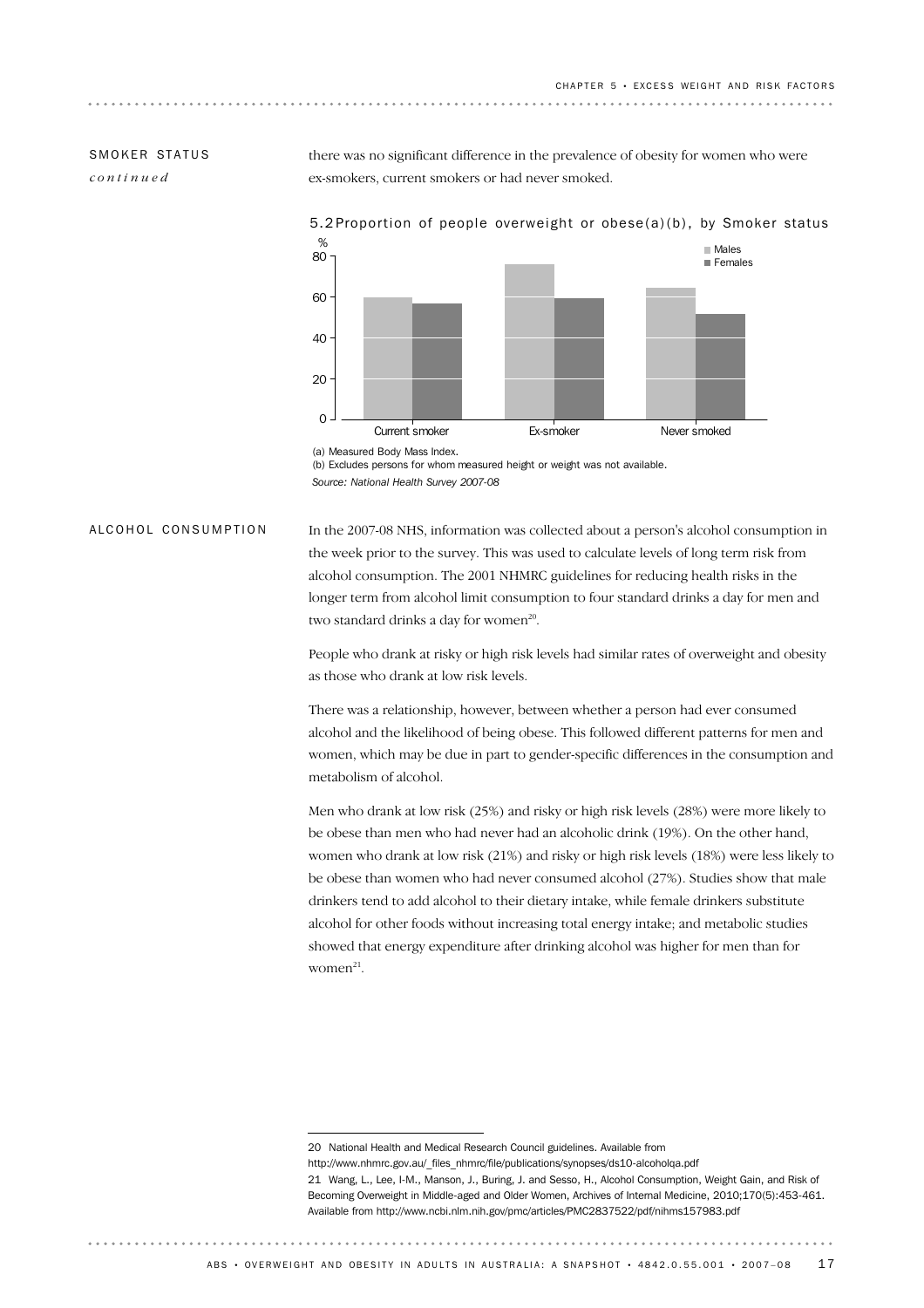## SMOKER STATUS

*continued*

there was no significant difference in the prevalence of obesity for women who were ex-smokers, current smokers or had never smoked.



### 5.2 Proportion of people overweight or obese(a)(b), by Smoker status

(b) Excludes persons for whom measured height or weight was not available. *Source: National Health Survey 2007-08*

ALCOHOL CONSUMPTION

In the 2007-08 NHS, information was collected about a person's alcohol consumption in the week prior to the survey. This was used to calculate levels of long term risk from alcohol consumption. The 2001 NHMRC guidelines for reducing health risks in the longer term from alcohol limit consumption to four standard drinks a day for men and two standard drinks a day for women<sup>20</sup>.

People who drank at risky or high risk levels had similar rates of overweight and obesity as those who drank at low risk levels.

There was a relationship, however, between whether a person had ever consumed alcohol and the likelihood of being obese. This followed different patterns for men and women, which may be due in part to gender-specific differences in the consumption and metabolism of alcohol.

Men who drank at low risk (25%) and risky or high risk levels (28%) were more likely to be obese than men who had never had an alcoholic drink (19%). On the other hand, women who drank at low risk (21%) and risky or high risk levels (18%) were less likely to be obese than women who had never consumed alcohol (27%). Studies show that male drinkers tend to add alcohol to their dietary intake, while female drinkers substitute alcohol for other foods without increasing total energy intake; and metabolic studies showed that energy expenditure after drinking alcohol was higher for men than for  $women<sup>21</sup>$ .

<sup>20</sup> National Health and Medical Research Council guidelines. Available from

http://www.nhmrc.gov.au/\_files\_nhmrc/file/publications/synopses/ds10-alcoholqa.pdf

<sup>21</sup> Wang, L., Lee, I-M., Manson, J., Buring, J. and Sesso, H., Alcohol Consumption, Weight Gain, and Risk of Becoming Overweight in Middle-aged and Older Women, Archives of Internal Medicine, 2010;170(5):453-461. Available from http://www.ncbi.nlm.nih.gov/pmc/articles/PMC2837522/pdf/nihms157983.pdf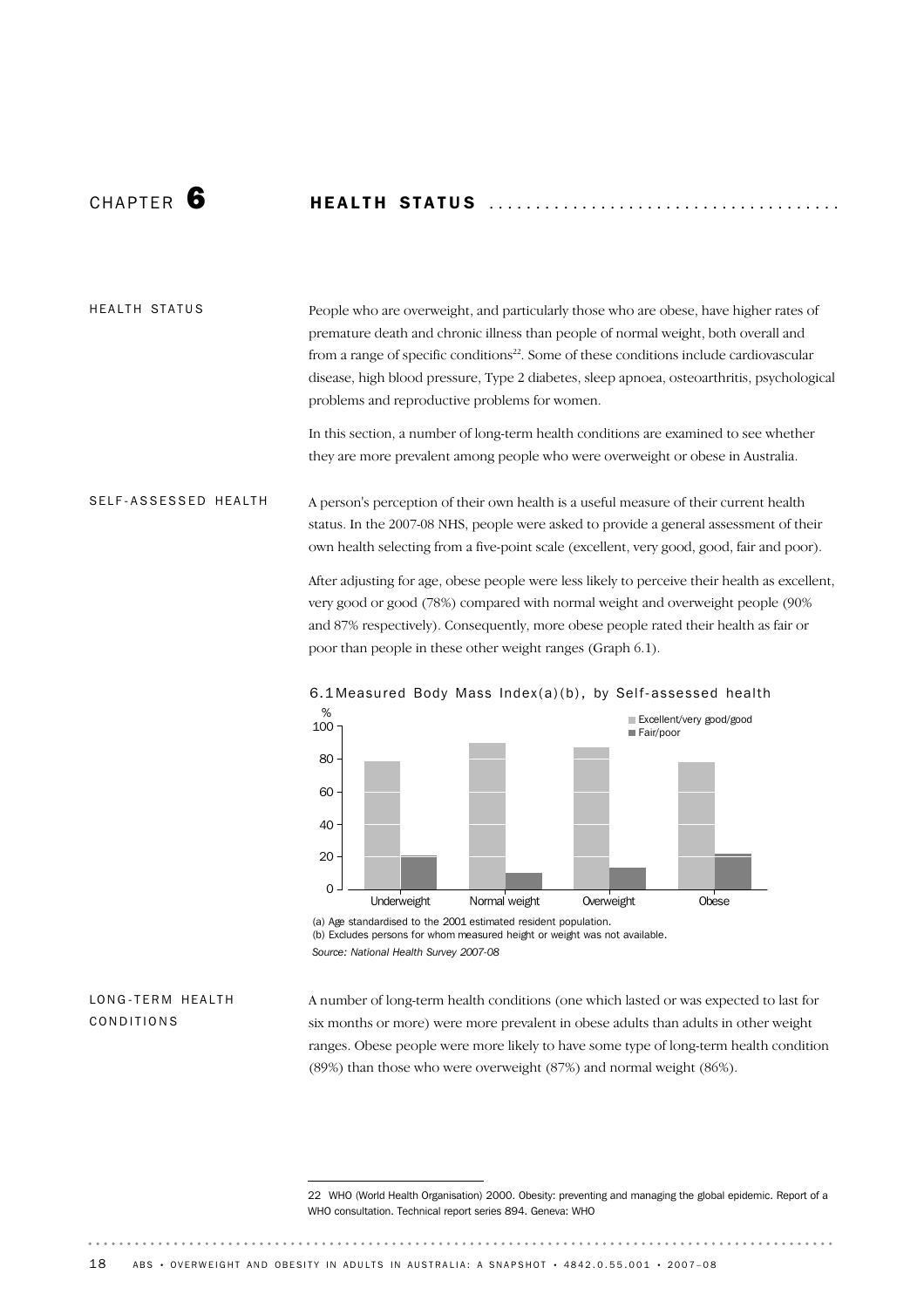# CHAP T E R 6 HE A L T H ST A T U S ..................................... .

#### HEALTH STATUS

People who are overweight, and particularly those who are obese, have higher rates of premature death and chronic illness than people of normal weight, both overall and from a range of specific conditions<sup>22</sup>. Some of these conditions include cardiovascular disease, high blood pressure, Type 2 diabetes, sleep apnoea, osteoarthritis, psychological problems and reproductive problems for women.

In this section, a number of long-term health conditions are examined to see whether they are more prevalent among people who were overweight or obese in Australia.

#### A person's perception of their own health is a useful measure of their current health status. In the 2007-08 NHS, people were asked to provide a general assessment of their own health selecting from a five-point scale (excellent, very good, good, fair and poor). SELF-ASSESSED HEALTH

After adjusting for age, obese people were less likely to perceive their health as excellent, very good or good (78%) compared with normal weight and overweight people (90% and 87% respectively). Consequently, more obese people rated their health as fair or poor than people in these other weight ranges (Graph 6.1).



### 6.1 Measured Body Mass Index(a)(b), by Self-assessed health

(a) Age standardised to the 2001 estimated resident population. (b) Excludes persons for whom measured height or weight was not available. *Source: National Health Survey 2007-08*

### LONG-TERM HEALTH CONDITIONS

A number of long-term health conditions (one which lasted or was expected to last for six months or more) were more prevalent in obese adults than adults in other weight ranges. Obese people were more likely to have some type of long-term health condition (89%) than those who were overweight (87%) and normal weight (86%).

<sup>22</sup> WHO (World Health Organisation) 2000. Obesity: preventing and managing the global epidemic. Report of a WHO consultation. Technical report series 894. Geneva: WHO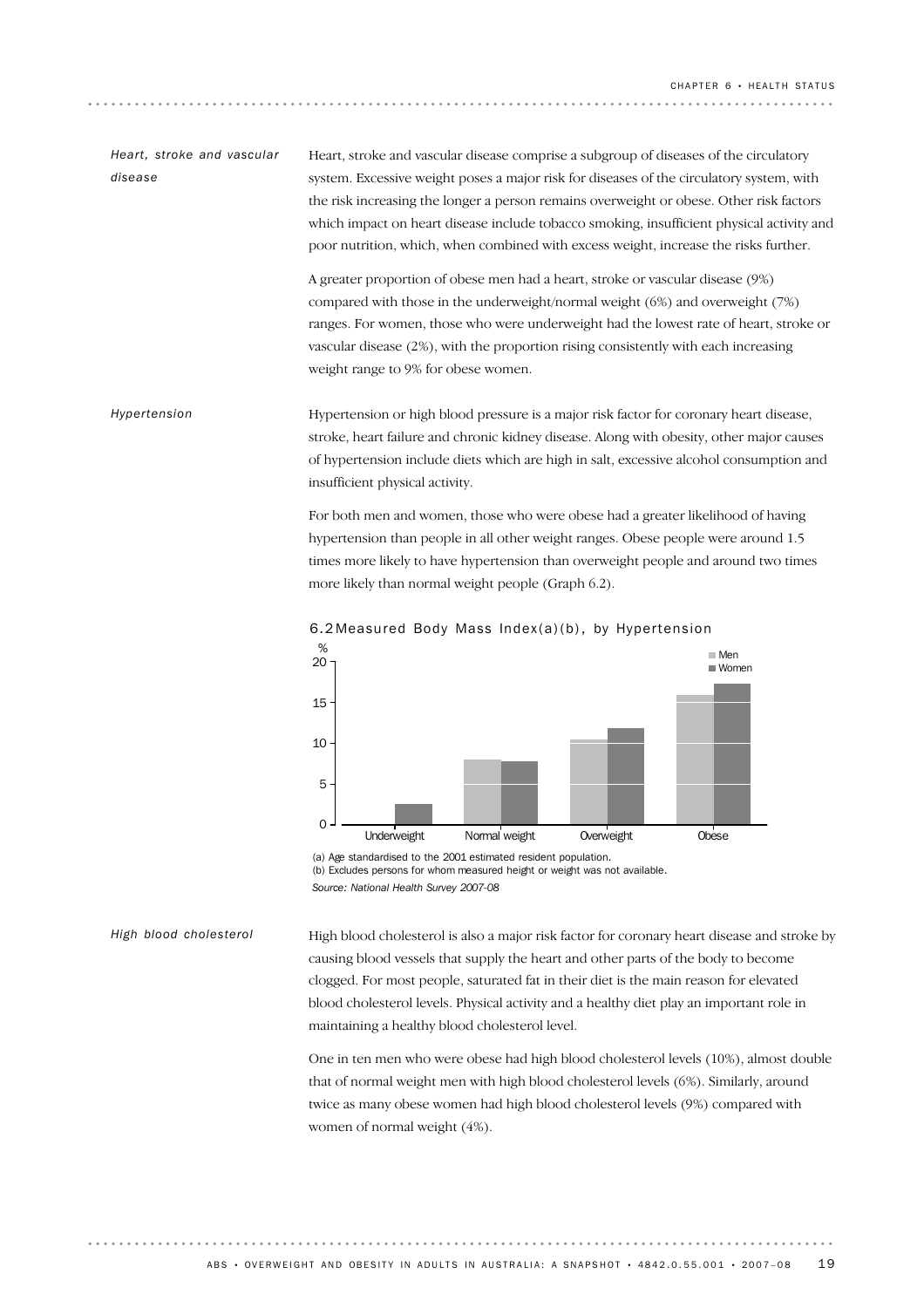Heart, stroke and vascular disease comprise a subgroup of diseases of the circulatory system. Excessive weight poses a major risk for diseases of the circulatory system, with the risk increasing the longer a person remains overweight or obese. Other risk factors which impact on heart disease include tobacco smoking, insufficient physical activity and poor nutrition, which, when combined with excess weight, increase the risks further. A greater proportion of obese men had a heart, stroke or vascular disease (9%) compared with those in the underweight/normal weight (6%) and overweight (7%) *Heart, stroke and vascular disease*

ranges. For women, those who were underweight had the lowest rate of heart, stroke or vascular disease (2%), with the proportion rising consistently with each increasing weight range to 9% for obese women.

Hypertension or high blood pressure is a major risk factor for coronary heart disease, stroke, heart failure and chronic kidney disease. Along with obesity, other major causes of hypertension include diets which are high in salt, excessive alcohol consumption and insufficient physical activity. *Hypertension*

> For both men and women, those who were obese had a greater likelihood of having hypertension than people in all other weight ranges. Obese people were around 1.5 times more likely to have hypertension than overweight people and around two times more likely than normal weight people (Graph 6.2).





(b) Excludes persons for whom measured height or weight was not available. *Source: National Health Survey 2007-08*

*High blood cholesterol*

High blood cholesterol is also a major risk factor for coronary heart disease and stroke by causing blood vessels that supply the heart and other parts of the body to become clogged. For most people, saturated fat in their diet is the main reason for elevated blood cholesterol levels. Physical activity and a healthy diet play an important role in maintaining a healthy blood cholesterol level.

One in ten men who were obese had high blood cholesterol levels (10%), almost double that of normal weight men with high blood cholesterol levels (6%). Similarly, around twice as many obese women had high blood cholesterol levels (9%) compared with women of normal weight (4%).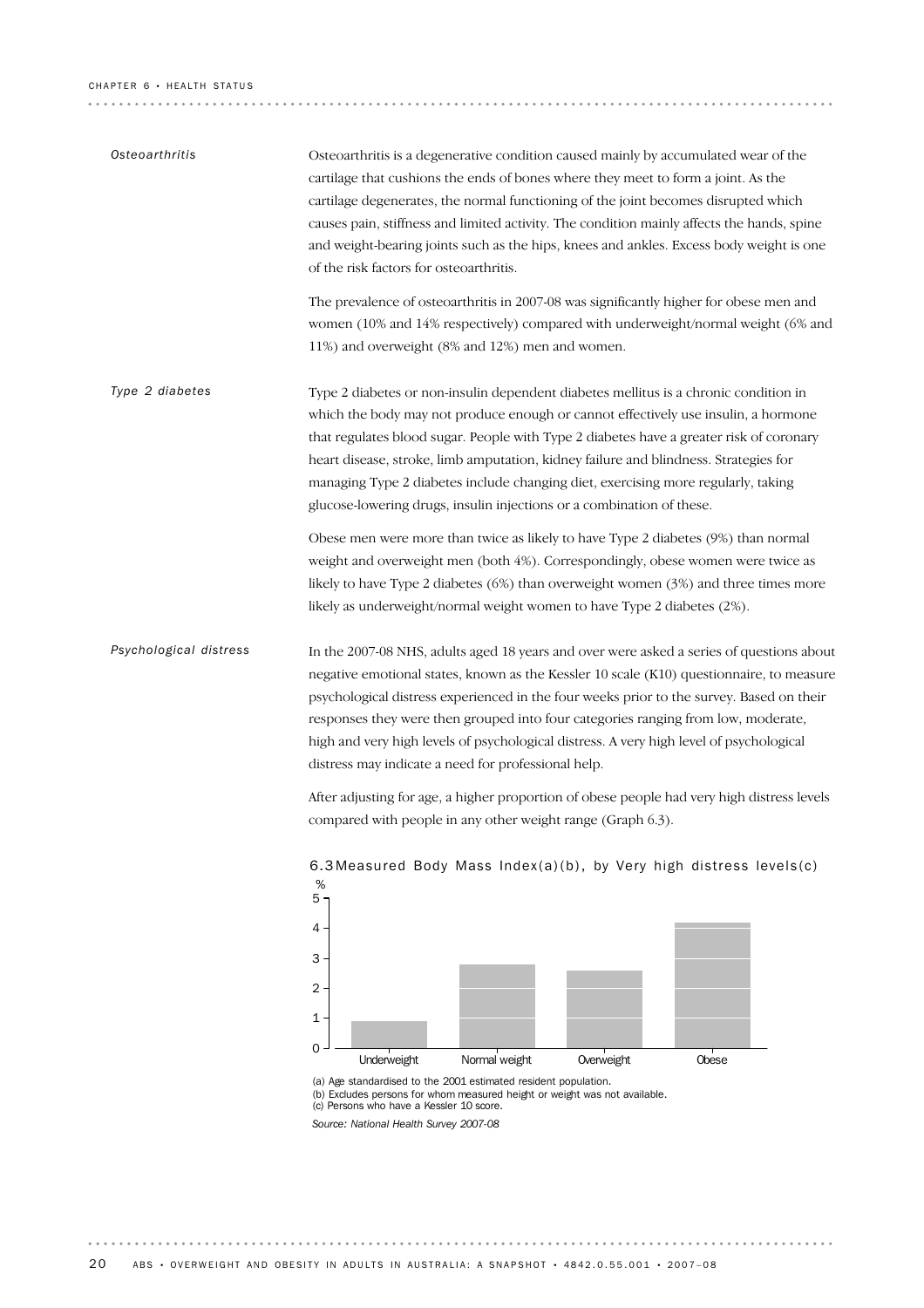### CHAPTER 6 · HEALTH STATUS

| Osteoarthritis         | Osteoarthritis is a degenerative condition caused mainly by accumulated wear of the<br>cartilage that cushions the ends of bones where they meet to form a joint. As the<br>cartilage degenerates, the normal functioning of the joint becomes disrupted which<br>causes pain, stiffness and limited activity. The condition mainly affects the hands, spine<br>and weight-bearing joints such as the hips, knees and ankles. Excess body weight is one<br>of the risk factors for osteoarthritis.                                                                                                                                                                                                                                                                     |
|------------------------|------------------------------------------------------------------------------------------------------------------------------------------------------------------------------------------------------------------------------------------------------------------------------------------------------------------------------------------------------------------------------------------------------------------------------------------------------------------------------------------------------------------------------------------------------------------------------------------------------------------------------------------------------------------------------------------------------------------------------------------------------------------------|
|                        | The prevalence of osteoarthritis in 2007-08 was significantly higher for obese men and<br>women (10% and 14% respectively) compared with underweight/normal weight (6% and<br>11%) and overweight (8% and 12%) men and women.                                                                                                                                                                                                                                                                                                                                                                                                                                                                                                                                          |
| Type 2 diabetes        | Type 2 diabetes or non-insulin dependent diabetes mellitus is a chronic condition in<br>which the body may not produce enough or cannot effectively use insulin, a hormone<br>that regulates blood sugar. People with Type 2 diabetes have a greater risk of coronary<br>heart disease, stroke, limb amputation, kidney failure and blindness. Strategies for<br>managing Type 2 diabetes include changing diet, exercising more regularly, taking<br>glucose-lowering drugs, insulin injections or a combination of these.                                                                                                                                                                                                                                            |
|                        | Obese men were more than twice as likely to have Type 2 diabetes (9%) than normal<br>weight and overweight men (both 4%). Correspondingly, obese women were twice as<br>likely to have Type 2 diabetes $(6%)$ than overweight women $(3%)$ and three times more<br>likely as underweight/normal weight women to have Type 2 diabetes (2%).                                                                                                                                                                                                                                                                                                                                                                                                                             |
| Psychological distress | In the 2007-08 NHS, adults aged 18 years and over were asked a series of questions about<br>negative emotional states, known as the Kessler 10 scale (K10) questionnaire, to measure<br>psychological distress experienced in the four weeks prior to the survey. Based on their<br>responses they were then grouped into four categories ranging from low, moderate,<br>high and very high levels of psychological distress. A very high level of psychological<br>distress may indicate a need for professional help.<br>After adjusting for age, a higher proportion of obese people had very high distress levels<br>compared with people in any other weight range (Graph 6.3).<br>6.3 Measured Body Mass Index(a)(b), by Very high distress levels(c)<br>%<br>5. |
|                        | 4<br>3<br>2<br>1<br>$\Omega$<br>Normal weight<br>Underweight<br>Overweight<br>Obese                                                                                                                                                                                                                                                                                                                                                                                                                                                                                                                                                                                                                                                                                    |
|                        | (a) Age standardised to the 2001 estimated resident population.<br>(b) Excludes persons for whom measured height or weight was not available.<br>(c) Persons who have a Kessler 10 score.                                                                                                                                                                                                                                                                                                                                                                                                                                                                                                                                                                              |

*Source: National Health Survey 2007-08*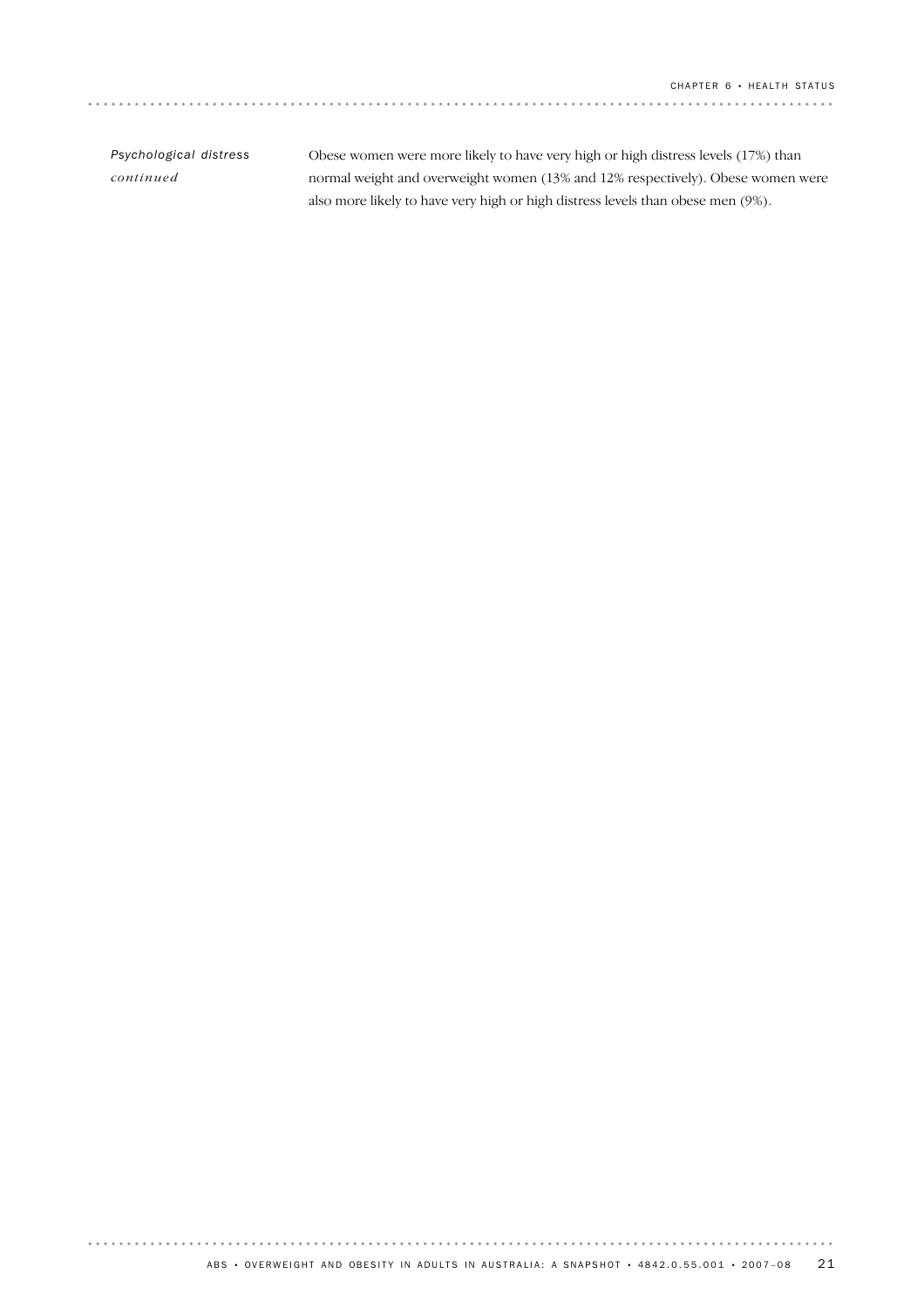| Psychological distress | Obese women were more likely to have very high or high distress levels (17%) than |
|------------------------|-----------------------------------------------------------------------------------|
| continued              | normal weight and overweight women (13% and 12% respectively). Obese women were   |
|                        | also more likely to have very high or high distress levels than obese men (9%).   |

. . . . . . . . . . . . . .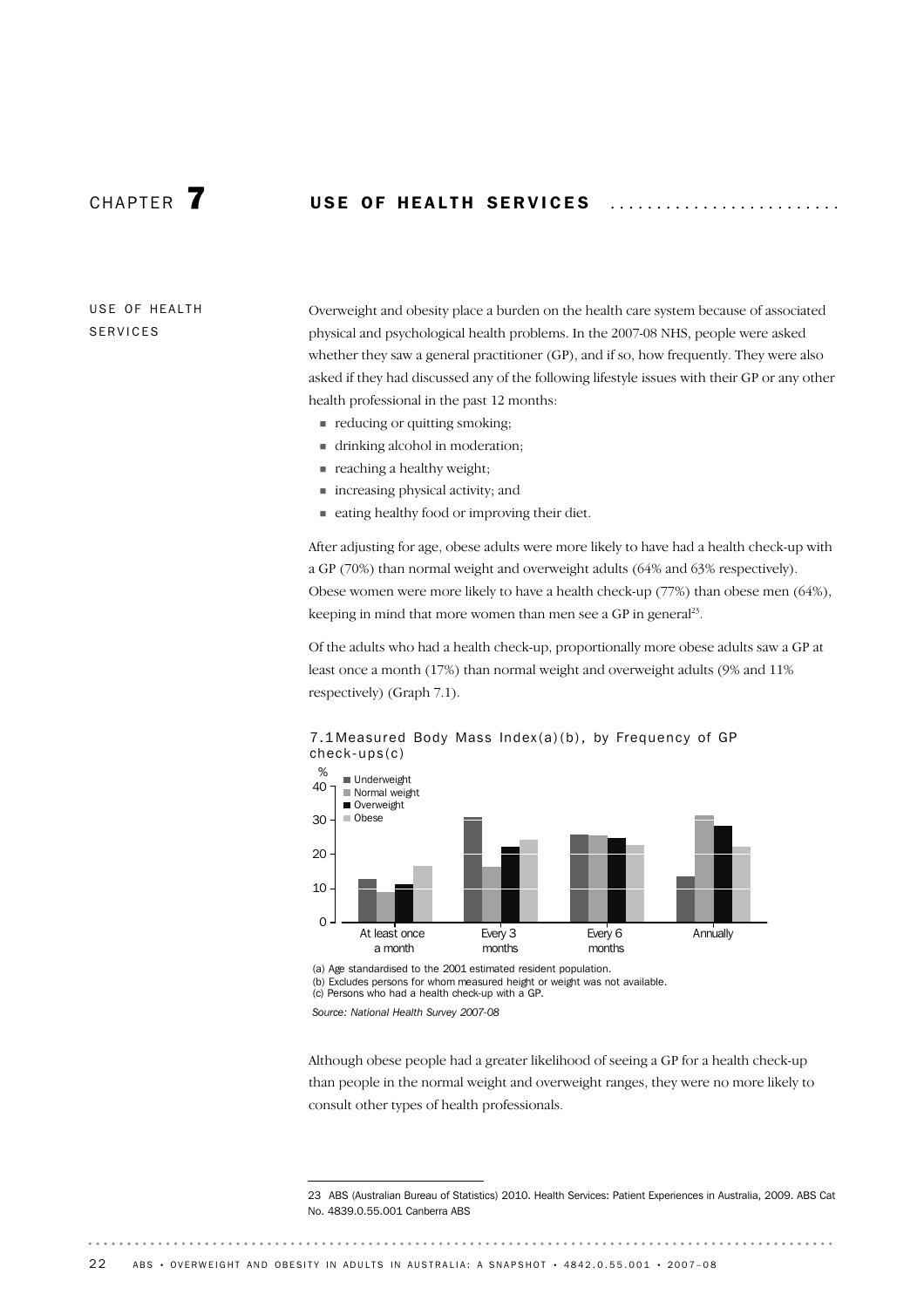# CHAPTER **7** USE OF HEALTH SERVICES

USE OF HEALTH SERVICES

Overweight and obesity place a burden on the health care system because of associated physical and psychological health problems. In the 2007-08 NHS, people were asked whether they saw a general practitioner (GP), and if so, how frequently. They were also asked if they had discussed any of the following lifestyle issues with their GP or any other health professional in the past 12 months:

- ! reducing or quitting smoking;
- ! drinking alcohol in moderation;
- **Exercise 2** reaching a healthy weight;
- ! increasing physical activity; and
- ! eating healthy food or improving their diet.

After adjusting for age, obese adults were more likely to have had a health check-up with a GP (70%) than normal weight and overweight adults (64% and 63% respectively). Obese women were more likely to have a health check-up (77%) than obese men (64%), keeping in mind that more women than men see a GP in general<sup>23</sup>.

Of the adults who had a health check-up, proportionally more obese adults saw a GP at least once a month (17%) than normal weight and overweight adults (9% and 11% respectively) (Graph 7.1).



7.1 Measured Body Mass Index(a)(b), by Frequency of GP check-ups(c)

(a) Age standardised to the 2001 estimated resident population. (b) Excludes persons for whom measured height or weight was not available. (c) Persons who had a health check-up with a GP.

*Source: National Health Survey 2007-08*

Although obese people had a greater likelihood of seeing a GP for a health check-up than people in the normal weight and overweight ranges, they were no more likely to consult other types of health professionals.

23 ABS (Australian Bureau of Statistics) 2010. Health Services: Patient Experiences in Australia, 2009. ABS Cat No. 4839.0.55.001 Canberra ABS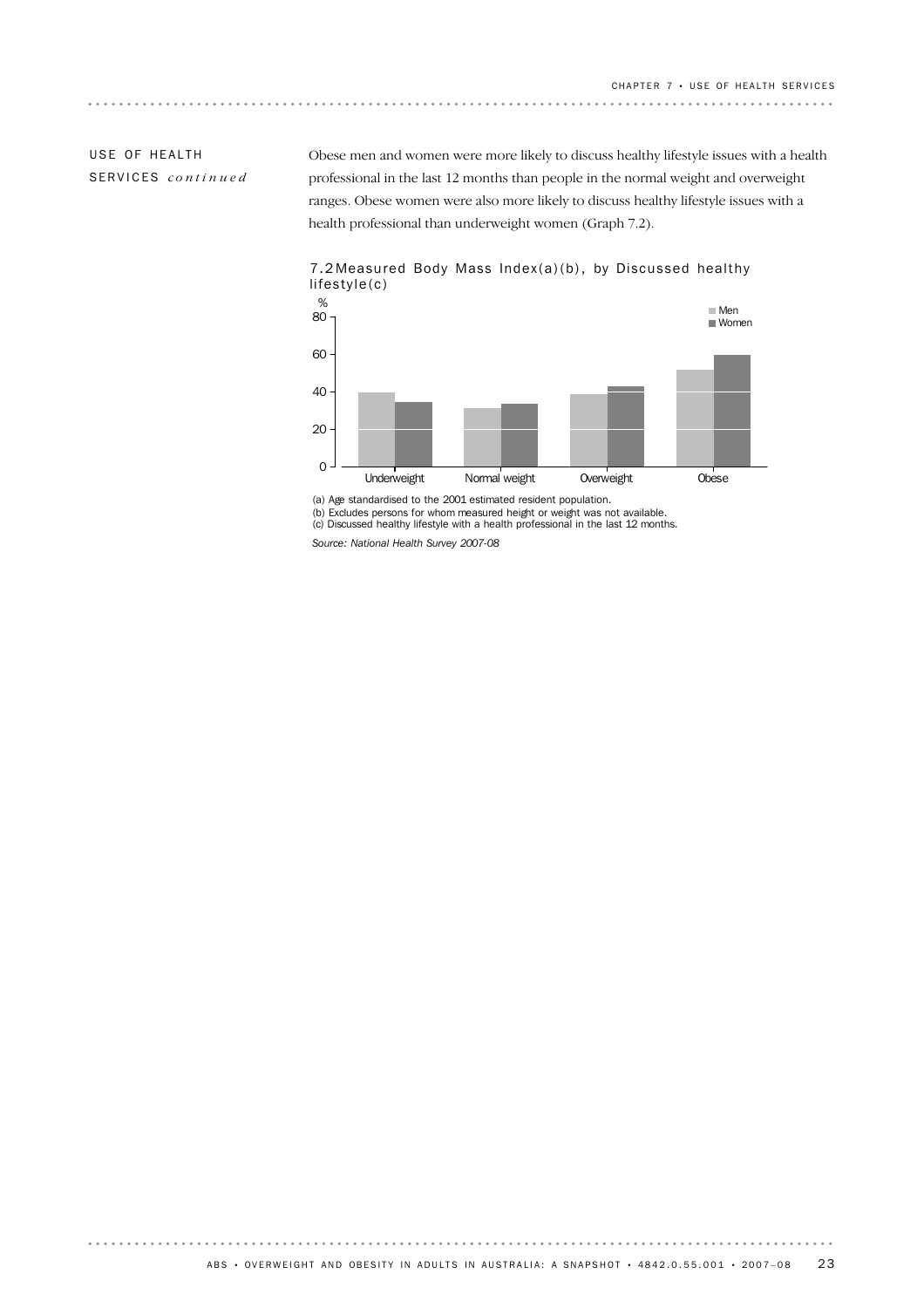## USE OF HEALTH SERVICES *continued*

. . . . . . . .

**\*\*\*\*\*\*\*\*\*\*\*\*\*\*\*\*\*\*** 

Obese men and women were more likely to discuss healthy lifestyle issues with a health professional in the last 12 months than people in the normal weight and overweight ranges. Obese women were also more likely to discuss healthy lifestyle issues with a health professional than underweight women (Graph 7.2).



### 7.2 Measured Body Mass Index(a)(b), by Discussed healthy lifestyle(c)

(a) Age standardised to the 2001 estimated resident population.

(b) Excludes persons for whom measured height or weight was not available. (c) Discussed healthy lifestyle with a health professional in the last 12 months.

*Source: National Health Survey 2007-08*